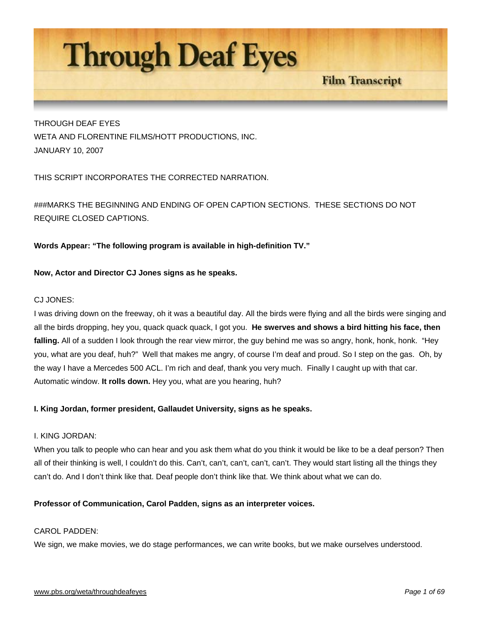

THROUGH DEAF EYES WETA AND FLORENTINE FILMS/HOTT PRODUCTIONS, INC. JANUARY 10, 2007

THIS SCRIPT INCORPORATES THE CORRECTED NARRATION.

###MARKS THE BEGINNING AND ENDING OF OPEN CAPTION SECTIONS. THESE SECTIONS DO NOT REQUIRE CLOSED CAPTIONS.

**Words Appear: "The following program is available in high-definition TV."** 

# **Now, Actor and Director CJ Jones signs as he speaks.**

# CJ JONES:

I was driving down on the freeway, oh it was a beautiful day. All the birds were flying and all the birds were singing and all the birds dropping, hey you, quack quack quack, I got you. **He swerves and shows a bird hitting his face, then falling.** All of a sudden I look through the rear view mirror, the guy behind me was so angry, honk, honk, honk. "Hey you, what are you deaf, huh?" Well that makes me angry, of course I'm deaf and proud. So I step on the gas. Oh, by the way I have a Mercedes 500 ACL. I'm rich and deaf, thank you very much. Finally I caught up with that car. Automatic window. **It rolls down.** Hey you, what are you hearing, huh?

# **I. King Jordan, former president, Gallaudet University, signs as he speaks.**

#### I. KING JORDAN:

When you talk to people who can hear and you ask them what do you think it would be like to be a deaf person? Then all of their thinking is well, I couldn't do this. Can't, can't, can't, can't, can't. They would start listing all the things they can't do. And I don't think like that. Deaf people don't think like that. We think about what we can do.

#### **Professor of Communication, Carol Padden, signs as an interpreter voices.**

# CAROL PADDEN:

We sign, we make movies, we do stage performances, we can write books, but we make ourselves understood.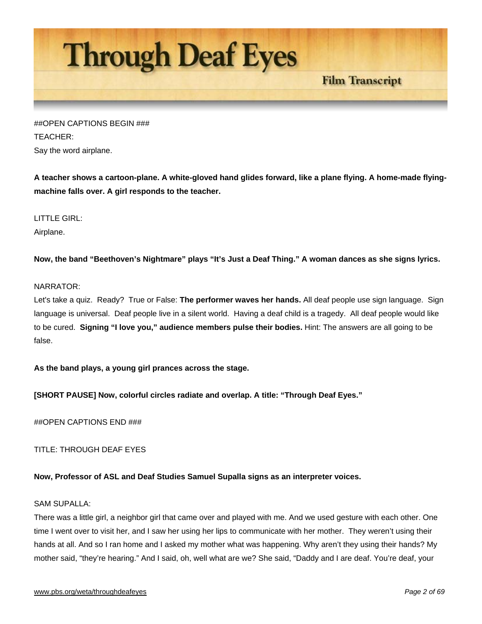

##OPEN CAPTIONS BEGIN ### TEACHER: Say the word airplane.

**A teacher shows a cartoon-plane. A white-gloved hand glides forward, like a plane flying. A home-made flyingmachine falls over. A girl responds to the teacher.** 

LITTLE GIRL: Airplane.

**Now, the band "Beethoven's Nightmare" plays "It's Just a Deaf Thing." A woman dances as she signs lyrics.**

# NARRATOR:

Let's take a quiz. Ready? True or False: **The performer waves her hands.** All deaf people use sign language. Sign language is universal. Deaf people live in a silent world. Having a deaf child is a tragedy. All deaf people would like to be cured. **Signing "I love you," audience members pulse their bodies.** Hint: The answers are all going to be false.

**As the band plays, a young girl prances across the stage.** 

**[SHORT PAUSE] Now, colorful circles radiate and overlap. A title: "Through Deaf Eyes."**

##OPEN CAPTIONS END ###

TITLE: THROUGH DEAF EYES

# **Now, Professor of ASL and Deaf Studies Samuel Supalla signs as an interpreter voices.**

# SAM SUPALLA:

There was a little girl, a neighbor girl that came over and played with me. And we used gesture with each other. One time I went over to visit her, and I saw her using her lips to communicate with her mother. They weren't using their hands at all. And so I ran home and I asked my mother what was happening. Why aren't they using their hands? My mother said, "they're hearing." And I said, oh, well what are we? She said, "Daddy and I are deaf. You're deaf, your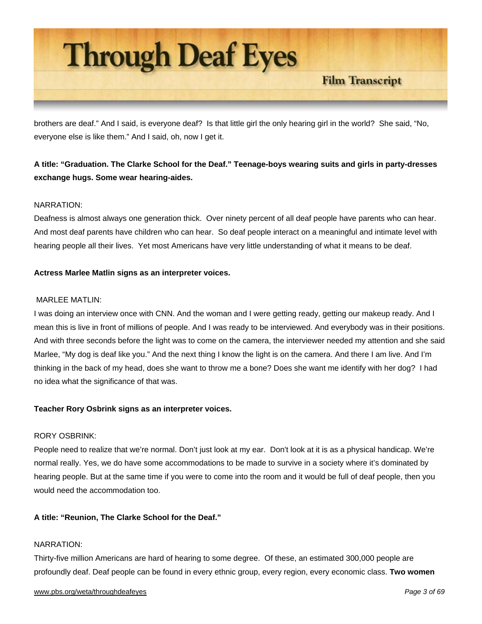

brothers are deaf." And I said, is everyone deaf? Is that little girl the only hearing girl in the world? She said, "No, everyone else is like them." And I said, oh, now I get it.

# **A title: "Graduation. The Clarke School for the Deaf." Teenage-boys wearing suits and girls in party-dresses exchange hugs. Some wear hearing-aides.**

# NARRATION:

Deafness is almost always one generation thick. Over ninety percent of all deaf people have parents who can hear. And most deaf parents have children who can hear. So deaf people interact on a meaningful and intimate level with hearing people all their lives. Yet most Americans have very little understanding of what it means to be deaf.

# **Actress Marlee Matlin signs as an interpreter voices.**

#### MARLEE MATLIN:

I was doing an interview once with CNN. And the woman and I were getting ready, getting our makeup ready. And I mean this is live in front of millions of people. And I was ready to be interviewed. And everybody was in their positions. And with three seconds before the light was to come on the camera, the interviewer needed my attention and she said Marlee, "My dog is deaf like you." And the next thing I know the light is on the camera. And there I am live. And I'm thinking in the back of my head, does she want to throw me a bone? Does she want me identify with her dog? I had no idea what the significance of that was.

# **Teacher Rory Osbrink signs as an interpreter voices.**

#### RORY OSBRINK:

People need to realize that we're normal. Don't just look at my ear. Don't look at it is as a physical handicap. We're normal really. Yes, we do have some accommodations to be made to survive in a society where it's dominated by hearing people. But at the same time if you were to come into the room and it would be full of deaf people, then you would need the accommodation too.

# **A title: "Reunion, The Clarke School for the Deaf."**

#### NARRATION:

Thirty-five million Americans are hard of hearing to some degree. Of these, an estimated 300,000 people are profoundly deaf. Deaf people can be found in every ethnic group, every region, every economic class. **Two women**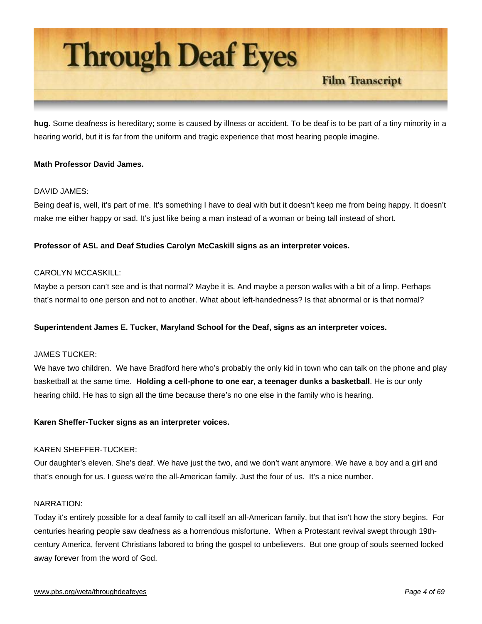

**hug.** Some deafness is hereditary; some is caused by illness or accident. To be deaf is to be part of a tiny minority in a hearing world, but it is far from the uniform and tragic experience that most hearing people imagine.

# **Math Professor David James.**

# DAVID JAMES:

Being deaf is, well, it's part of me. It's something I have to deal with but it doesn't keep me from being happy. It doesn't make me either happy or sad. It's just like being a man instead of a woman or being tall instead of short.

# **Professor of ASL and Deaf Studies Carolyn McCaskill signs as an interpreter voices.**

# CAROLYN MCCASKILL:

Maybe a person can't see and is that normal? Maybe it is. And maybe a person walks with a bit of a limp. Perhaps that's normal to one person and not to another. What about left-handedness? Is that abnormal or is that normal?

#### **Superintendent James E. Tucker, Maryland School for the Deaf, signs as an interpreter voices.**

#### JAMES TUCKER:

We have two children. We have Bradford here who's probably the only kid in town who can talk on the phone and play basketball at the same time. **Holding a cell-phone to one ear, a teenager dunks a basketball**. He is our only hearing child. He has to sign all the time because there's no one else in the family who is hearing.

#### **Karen Sheffer-Tucker signs as an interpreter voices.**

#### KAREN SHEFFER-TUCKER:

Our daughter's eleven. She's deaf. We have just the two, and we don't want anymore. We have a boy and a girl and that's enough for us. I guess we're the all-American family. Just the four of us. It's a nice number.

#### NARRATION:

Today it's entirely possible for a deaf family to call itself an all-American family, but that isn't how the story begins. For centuries hearing people saw deafness as a horrendous misfortune. When a Protestant revival swept through 19thcentury America, fervent Christians labored to bring the gospel to unbelievers. But one group of souls seemed locked away forever from the word of God.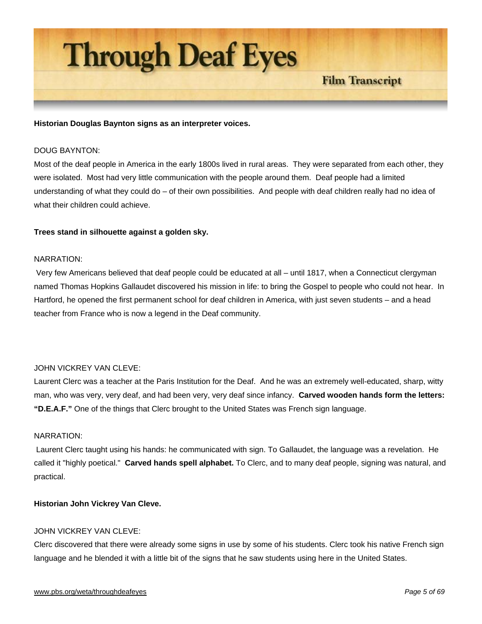

#### **Historian Douglas Baynton signs as an interpreter voices.**

#### DOUG BAYNTON:

Most of the deaf people in America in the early 1800s lived in rural areas. They were separated from each other, they were isolated. Most had very little communication with the people around them. Deaf people had a limited understanding of what they could do – of their own possibilities. And people with deaf children really had no idea of what their children could achieve.

#### **Trees stand in silhouette against a golden sky.**

#### NARRATION:

 Very few Americans believed that deaf people could be educated at all – until 1817, when a Connecticut clergyman named Thomas Hopkins Gallaudet discovered his mission in life: to bring the Gospel to people who could not hear. In Hartford, he opened the first permanent school for deaf children in America, with just seven students – and a head teacher from France who is now a legend in the Deaf community.

#### JOHN VICKREY VAN CLEVE:

Laurent Clerc was a teacher at the Paris Institution for the Deaf. And he was an extremely well-educated, sharp, witty man, who was very, very deaf, and had been very, very deaf since infancy. **Carved wooden hands form the letters: "D.E.A.F."** One of the things that Clerc brought to the United States was French sign language.

#### NARRATION:

 Laurent Clerc taught using his hands: he communicated with sign. To Gallaudet, the language was a revelation. He called it "highly poetical." **Carved hands spell alphabet.** To Clerc, and to many deaf people, signing was natural, and practical.

#### **Historian John Vickrey Van Cleve.**

#### JOHN VICKREY VAN CLEVE:

Clerc discovered that there were already some signs in use by some of his students. Clerc took his native French sign language and he blended it with a little bit of the signs that he saw students using here in the United States.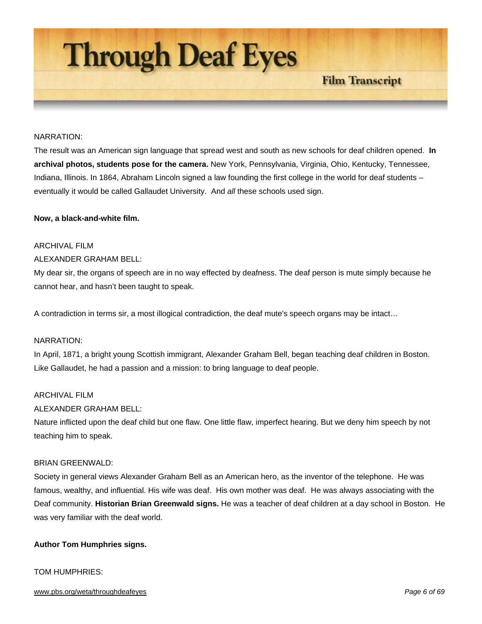

#### NARRATION:

The result was an American sign language that spread west and south as new schools for deaf children opened. **In archival photos, students pose for the camera.** New York, Pennsylvania, Virginia, Ohio, Kentucky, Tennessee, Indiana, Illinois. In 1864, Abraham Lincoln signed a law founding the first college in the world for deaf students – eventually it would be called Gallaudet University. And *all* these schools used sign.

#### **Now, a black-and-white film.**

# ARCHIVAL FILM

# ALEXANDER GRAHAM BELL:

My dear sir, the organs of speech are in no way effected by deafness. The deaf person is mute simply because he cannot hear, and hasn't been taught to speak.

A contradiction in terms sir, a most illogical contradiction, the deaf mute's speech organs may be intact…

# NARRATION:

In April, 1871, a bright young Scottish immigrant, Alexander Graham Bell, began teaching deaf children in Boston. Like Gallaudet, he had a passion and a mission: to bring language to deaf people.

#### ARCHIVAL FILM

# ALEXANDER GRAHAM BELL:

Nature inflicted upon the deaf child but one flaw. One little flaw, imperfect hearing. But we deny him speech by not teaching him to speak.

#### BRIAN GREENWALD:

Society in general views Alexander Graham Bell as an American hero, as the inventor of the telephone. He was famous, wealthy, and influential. His wife was deaf. His own mother was deaf. He was always associating with the Deaf community. **Historian Brian Greenwald signs.** He was a teacher of deaf children at a day school in Boston. He was very familiar with the deaf world.

#### **Author Tom Humphries signs.**

# TOM HUMPHRIES: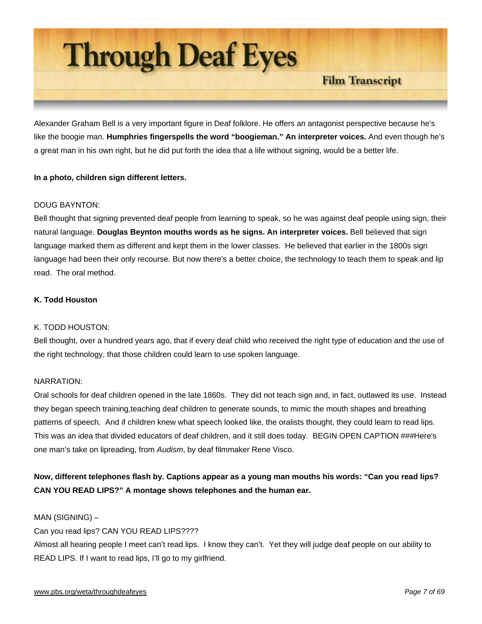

Alexander Graham Bell is a very important figure in Deaf folklore. He offers an antagonist perspective because he's like the boogie man. **Humphries fingerspells the word "boogieman." An interpreter voices.** And even though he's a great man in his own right, but he did put forth the idea that a life without signing, would be a better life.

# **In a photo, children sign different letters.**

# DOUG BAYNTON:

Bell thought that signing prevented deaf people from learning to speak, so he was against deaf people using sign, their natural language. **Douglas Beynton mouths words as he signs. An interpreter voices.** Bell believed that sign language marked them as different and kept them in the lower classes. He believed that earlier in the 1800s sign language had been their only recourse. But now there's a better choice, the technology to teach them to speak and lip read. The oral method.

# **K. Todd Houston**

#### K. TODD HOUSTON:

Bell thought, over a hundred years ago, that if every deaf child who received the right type of education and the use of the right technology, that those children could learn to use spoken language.

## NARRATION:

Oral schools for deaf children opened in the late 1860s. They did not teach sign and, in fact, outlawed its use. Instead they began speech training,teaching deaf children to generate sounds, to mimic the mouth shapes and breathing patterns of speech. And if children knew what speech looked like, the oralists thought, they could learn to read lips. This was an idea that divided educators of deaf children, and it still does today. BEGIN OPEN CAPTION ###Here's one man's take on lipreading, from *Audism*, by deaf filmmaker Rene Visco.

# **Now, different telephones flash by. Captions appear as a young man mouths his words: "Can you read lips? CAN YOU READ LIPS?" A montage shows telephones and the human ear.**

## MAN (SIGNING) –

Can you read lips? CAN YOU READ LIPS????

Almost all hearing people I meet can't read lips. I know they can't. Yet they will judge deaf people on our ability to READ LIPS. If I want to read lips, I'll go to my girlfriend.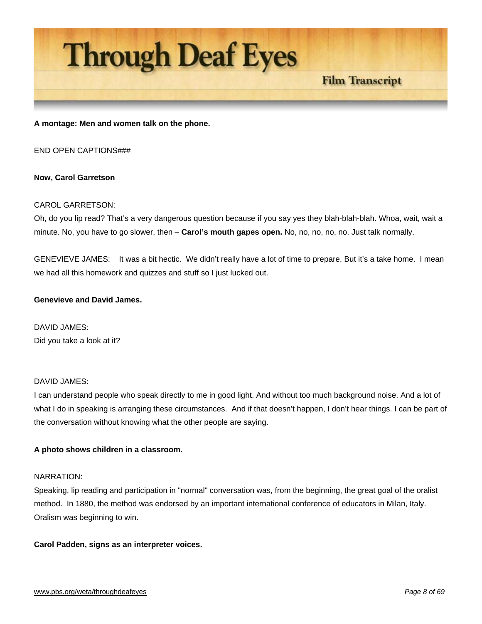

**A montage: Men and women talk on the phone.** 

END OPEN CAPTIONS###

#### **Now, Carol Garretson**

#### CAROL GARRETSON:

Oh, do you lip read? That's a very dangerous question because if you say yes they blah-blah-blah. Whoa, wait, wait a minute. No, you have to go slower, then – **Carol's mouth gapes open.** No, no, no, no, no. Just talk normally.

GENEVIEVE JAMES: It was a bit hectic. We didn't really have a lot of time to prepare. But it's a take home. I mean we had all this homework and quizzes and stuff so I just lucked out.

#### **Genevieve and David James.**

DAVID JAMES: Did you take a look at it?

## DAVID JAMES:

I can understand people who speak directly to me in good light. And without too much background noise. And a lot of what I do in speaking is arranging these circumstances. And if that doesn't happen, I don't hear things. I can be part of the conversation without knowing what the other people are saying.

#### **A photo shows children in a classroom.**

#### NARRATION:

Speaking, lip reading and participation in "normal" conversation was, from the beginning, the great goal of the oralist method. In 1880, the method was endorsed by an important international conference of educators in Milan, Italy. Oralism was beginning to win.

#### **Carol Padden, signs as an interpreter voices.**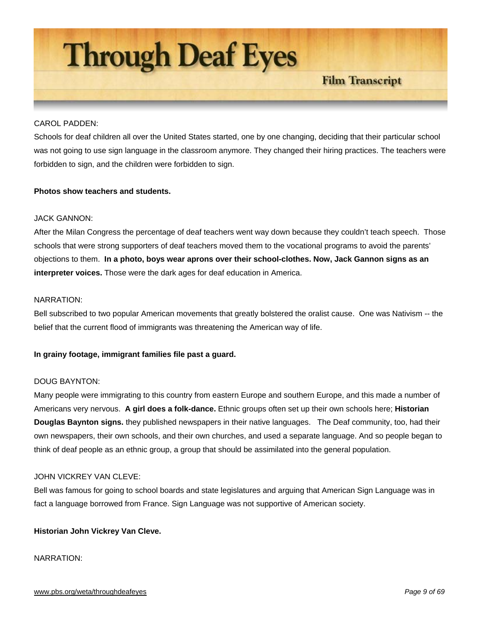

## CAROL PADDEN:

Schools for deaf children all over the United States started, one by one changing, deciding that their particular school was not going to use sign language in the classroom anymore. They changed their hiring practices. The teachers were forbidden to sign, and the children were forbidden to sign.

# **Photos show teachers and students.**

# JACK GANNON:

After the Milan Congress the percentage of deaf teachers went way down because they couldn't teach speech. Those schools that were strong supporters of deaf teachers moved them to the vocational programs to avoid the parents' objections to them. **In a photo, boys wear aprons over their school-clothes. Now, Jack Gannon signs as an interpreter voices.** Those were the dark ages for deaf education in America.

#### NARRATION:

Bell subscribed to two popular American movements that greatly bolstered the oralist cause. One was Nativism -- the belief that the current flood of immigrants was threatening the American way of life.

#### **In grainy footage, immigrant families file past a guard.**

## DOUG BAYNTON:

Many people were immigrating to this country from eastern Europe and southern Europe, and this made a number of Americans very nervous. **A girl does a folk-dance.** Ethnic groups often set up their own schools here; **Historian Douglas Baynton signs.** they published newspapers in their native languages. The Deaf community, too, had their own newspapers, their own schools, and their own churches, and used a separate language. And so people began to think of deaf people as an ethnic group, a group that should be assimilated into the general population.

## JOHN VICKREY VAN CLEVE:

Bell was famous for going to school boards and state legislatures and arguing that American Sign Language was in fact a language borrowed from France. Sign Language was not supportive of American society.

#### **Historian John Vickrey Van Cleve.**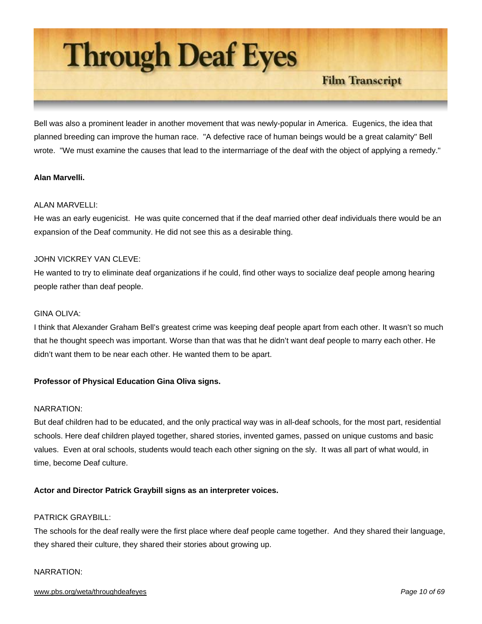

Bell was also a prominent leader in another movement that was newly-popular in America. Eugenics, the idea that planned breeding can improve the human race. "A defective race of human beings would be a great calamity" Bell wrote. "We must examine the causes that lead to the intermarriage of the deaf with the object of applying a remedy."

# **Alan Marvelli.**

# ALAN MARVELLI:

He was an early eugenicist. He was quite concerned that if the deaf married other deaf individuals there would be an expansion of the Deaf community. He did not see this as a desirable thing.

# JOHN VICKREY VAN CLEVE:

He wanted to try to eliminate deaf organizations if he could, find other ways to socialize deaf people among hearing people rather than deaf people.

## GINA OLIVA:

I think that Alexander Graham Bell's greatest crime was keeping deaf people apart from each other. It wasn't so much that he thought speech was important. Worse than that was that he didn't want deaf people to marry each other. He didn't want them to be near each other. He wanted them to be apart.

# **Professor of Physical Education Gina Oliva signs.**

#### NARRATION:

But deaf children had to be educated, and the only practical way was in all-deaf schools, for the most part, residential schools. Here deaf children played together, shared stories, invented games, passed on unique customs and basic values. Even at oral schools, students would teach each other signing on the sly. It was all part of what would, in time, become Deaf culture.

# **Actor and Director Patrick Graybill signs as an interpreter voices.**

# PATRICK GRAYBILL:

The schools for the deaf really were the first place where deaf people came together. And they shared their language, they shared their culture, they shared their stories about growing up.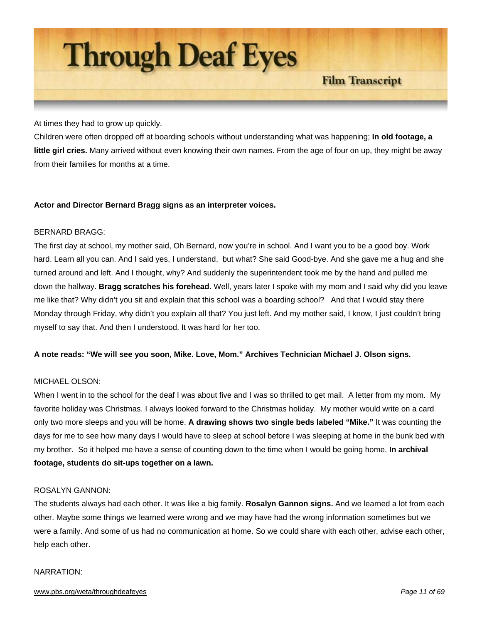

At times they had to grow up quickly.

Children were often dropped off at boarding schools without understanding what was happening; **In old footage, a little girl cries.** Many arrived without even knowing their own names. From the age of four on up, they might be away from their families for months at a time.

# **Actor and Director Bernard Bragg signs as an interpreter voices.**

#### BERNARD BRAGG:

The first day at school, my mother said, Oh Bernard, now you're in school. And I want you to be a good boy. Work hard. Learn all you can. And I said yes, I understand, but what? She said Good-bye. And she gave me a hug and she turned around and left. And I thought, why? And suddenly the superintendent took me by the hand and pulled me down the hallway. **Bragg scratches his forehead.** Well, years later I spoke with my mom and I said why did you leave me like that? Why didn't you sit and explain that this school was a boarding school? And that I would stay there Monday through Friday, why didn't you explain all that? You just left. And my mother said, I know, I just couldn't bring myself to say that. And then I understood. It was hard for her too.

#### **A note reads: "We will see you soon, Mike. Love, Mom." Archives Technician Michael J. Olson signs.**

## MICHAEL OLSON:

When I went in to the school for the deaf I was about five and I was so thrilled to get mail. A letter from my mom. My favorite holiday was Christmas. I always looked forward to the Christmas holiday. My mother would write on a card only two more sleeps and you will be home. **A drawing shows two single beds labeled "Mike."** It was counting the days for me to see how many days I would have to sleep at school before I was sleeping at home in the bunk bed with my brother. So it helped me have a sense of counting down to the time when I would be going home. **In archival footage, students do sit-ups together on a lawn.**

#### ROSALYN GANNON:

The students always had each other. It was like a big family. **Rosalyn Gannon signs.** And we learned a lot from each other. Maybe some things we learned were wrong and we may have had the wrong information sometimes but we were a family. And some of us had no communication at home. So we could share with each other, advise each other, help each other.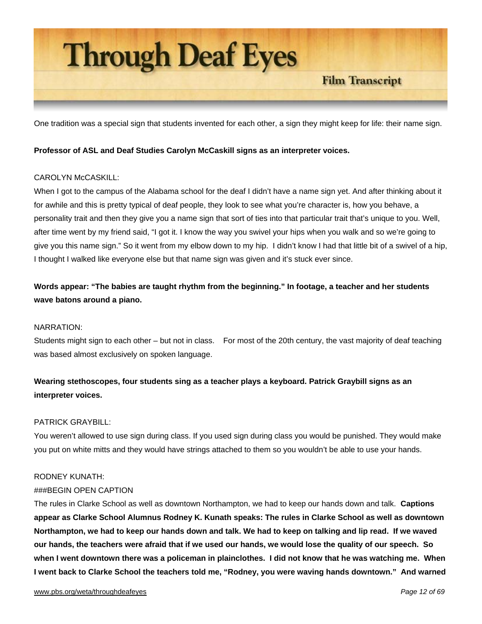

One tradition was a special sign that students invented for each other, a sign they might keep for life: their name sign.

# **Professor of ASL and Deaf Studies Carolyn McCaskill signs as an interpreter voices.**

# CAROLYN McCASKILL:

When I got to the campus of the Alabama school for the deaf I didn't have a name sign yet. And after thinking about it for awhile and this is pretty typical of deaf people, they look to see what you're character is, how you behave, a personality trait and then they give you a name sign that sort of ties into that particular trait that's unique to you. Well, after time went by my friend said, "I got it. I know the way you swivel your hips when you walk and so we're going to give you this name sign." So it went from my elbow down to my hip. I didn't know I had that little bit of a swivel of a hip, I thought I walked like everyone else but that name sign was given and it's stuck ever since.

# **Words appear: "The babies are taught rhythm from the beginning." In footage, a teacher and her students wave batons around a piano.**

#### NARRATION:

Students might sign to each other – but not in class. For most of the 20th century, the vast majority of deaf teaching was based almost exclusively on spoken language.

# **Wearing stethoscopes, four students sing as a teacher plays a keyboard. Patrick Graybill signs as an interpreter voices.**

#### PATRICK GRAYBILL:

You weren't allowed to use sign during class. If you used sign during class you would be punished. They would make you put on white mitts and they would have strings attached to them so you wouldn't be able to use your hands.

#### RODNEY KUNATH:

# ###BEGIN OPEN CAPTION

The rules in Clarke School as well as downtown Northampton, we had to keep our hands down and talk. **Captions appear as Clarke School Alumnus Rodney K. Kunath speaks: The rules in Clarke School as well as downtown Northampton, we had to keep our hands down and talk. We had to keep on talking and lip read. If we waved our hands, the teachers were afraid that if we used our hands, we would lose the quality of our speech. So when I went downtown there was a policeman in plainclothes. I did not know that he was watching me. When I went back to Clarke School the teachers told me, "Rodney, you were waving hands downtown." And warned**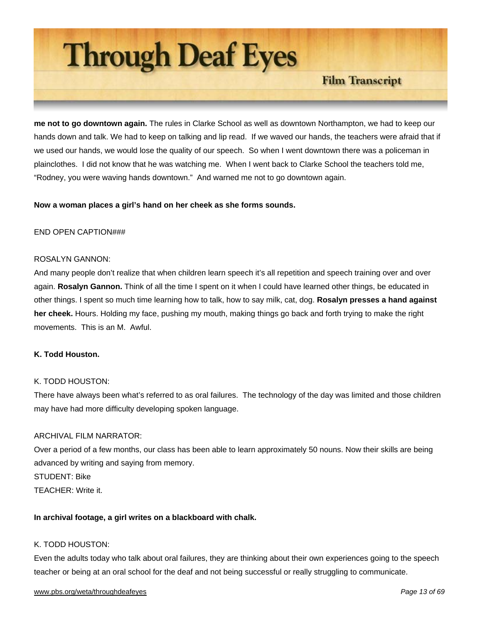

**me not to go downtown again.** The rules in Clarke School as well as downtown Northampton, we had to keep our hands down and talk. We had to keep on talking and lip read. If we waved our hands, the teachers were afraid that if we used our hands, we would lose the quality of our speech. So when I went downtown there was a policeman in plainclothes. I did not know that he was watching me. When I went back to Clarke School the teachers told me, "Rodney, you were waving hands downtown." And warned me not to go downtown again.

# **Now a woman places a girl's hand on her cheek as she forms sounds.**

#### END OPEN CAPTION###

#### ROSALYN GANNON:

And many people don't realize that when children learn speech it's all repetition and speech training over and over again. **Rosalyn Gannon.** Think of all the time I spent on it when I could have learned other things, be educated in other things. I spent so much time learning how to talk, how to say milk, cat, dog. **Rosalyn presses a hand against her cheek.** Hours. Holding my face, pushing my mouth, making things go back and forth trying to make the right movements. This is an M. Awful.

#### **K. Todd Houston.**

#### K. TODD HOUSTON:

There have always been what's referred to as oral failures. The technology of the day was limited and those children may have had more difficulty developing spoken language.

#### ARCHIVAL FILM NARRATOR:

Over a period of a few months, our class has been able to learn approximately 50 nouns. Now their skills are being advanced by writing and saying from memory. STUDENT: Bike TEACHER: Write it.

#### **In archival footage, a girl writes on a blackboard with chalk.**

## K. TODD HOUSTON:

Even the adults today who talk about oral failures, they are thinking about their own experiences going to the speech teacher or being at an oral school for the deaf and not being successful or really struggling to communicate.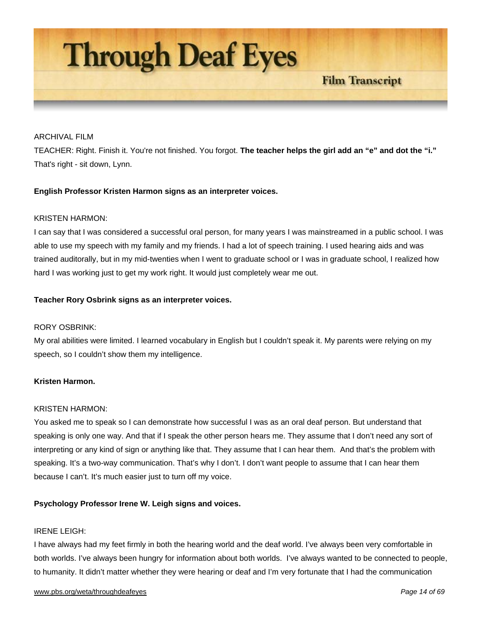

## ARCHIVAL FILM

TEACHER: Right. Finish it. You're not finished. You forgot. **The teacher helps the girl add an "e" and dot the "i."** That's right - sit down, Lynn.

# **English Professor Kristen Harmon signs as an interpreter voices.**

#### KRISTEN HARMON:

I can say that I was considered a successful oral person, for many years I was mainstreamed in a public school. I was able to use my speech with my family and my friends. I had a lot of speech training. I used hearing aids and was trained auditorally, but in my mid-twenties when I went to graduate school or I was in graduate school, I realized how hard I was working just to get my work right. It would just completely wear me out.

# **Teacher Rory Osbrink signs as an interpreter voices.**

#### RORY OSBRINK:

My oral abilities were limited. I learned vocabulary in English but I couldn't speak it. My parents were relying on my speech, so I couldn't show them my intelligence.

# **Kristen Harmon.**

#### KRISTEN HARMON:

You asked me to speak so I can demonstrate how successful I was as an oral deaf person. But understand that speaking is only one way. And that if I speak the other person hears me. They assume that I don't need any sort of interpreting or any kind of sign or anything like that. They assume that I can hear them. And that's the problem with speaking. It's a two-way communication. That's why I don't. I don't want people to assume that I can hear them because I can't. It's much easier just to turn off my voice.

#### **Psychology Professor Irene W. Leigh signs and voices.**

#### IRENE LEIGH:

I have always had my feet firmly in both the hearing world and the deaf world. I've always been very comfortable in both worlds. I've always been hungry for information about both worlds. I've always wanted to be connected to people, to humanity. It didn't matter whether they were hearing or deaf and I'm very fortunate that I had the communication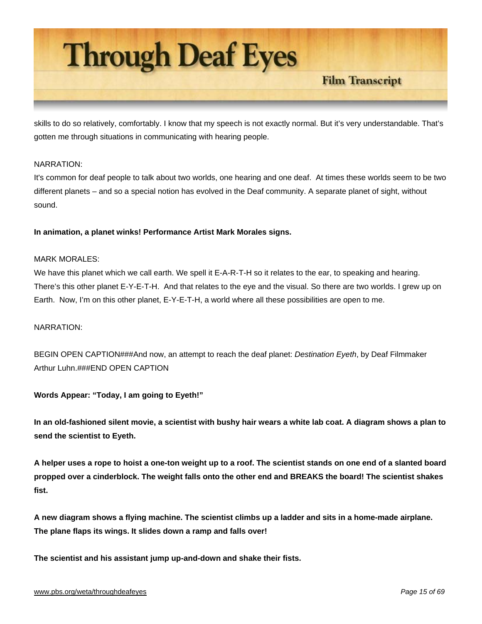

skills to do so relatively, comfortably. I know that my speech is not exactly normal. But it's very understandable. That's gotten me through situations in communicating with hearing people.

# NARRATION:

It's common for deaf people to talk about two worlds, one hearing and one deaf. At times these worlds seem to be two different planets – and so a special notion has evolved in the Deaf community. A separate planet of sight, without sound.

**In animation, a planet winks! Performance Artist Mark Morales signs.**

#### MARK MORALES:

We have this planet which we call earth. We spell it E-A-R-T-H so it relates to the ear, to speaking and hearing. There's this other planet E-Y-E-T-H. And that relates to the eye and the visual. So there are two worlds. I grew up on Earth. Now, I'm on this other planet, E-Y-E-T-H, a world where all these possibilities are open to me.

#### NARRATION:

BEGIN OPEN CAPTION###And now, an attempt to reach the deaf planet: *Destination Eyeth*, by Deaf Filmmaker Arthur Luhn.###END OPEN CAPTION

**Words Appear: "Today, I am going to Eyeth!"** 

**In an old-fashioned silent movie, a scientist with bushy hair wears a white lab coat. A diagram shows a plan to send the scientist to Eyeth.** 

**A helper uses a rope to hoist a one-ton weight up to a roof. The scientist stands on one end of a slanted board propped over a cinderblock. The weight falls onto the other end and BREAKS the board! The scientist shakes fist.** 

**A new diagram shows a flying machine. The scientist climbs up a ladder and sits in a home-made airplane. The plane flaps its wings. It slides down a ramp and falls over!** 

**The scientist and his assistant jump up-and-down and shake their fists.**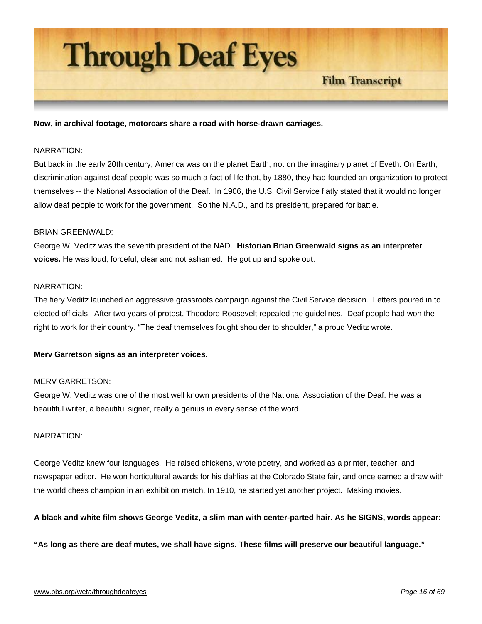

**Now, in archival footage, motorcars share a road with horse-drawn carriages.**

#### NARRATION:

But back in the early 20th century, America was on the planet Earth, not on the imaginary planet of Eyeth. On Earth, discrimination against deaf people was so much a fact of life that, by 1880, they had founded an organization to protect themselves -- the National Association of the Deaf. In 1906, the U.S. Civil Service flatly stated that it would no longer allow deaf people to work for the government. So the N.A.D., and its president, prepared for battle.

#### BRIAN GREENWALD:

George W. Veditz was the seventh president of the NAD. **Historian Brian Greenwald signs as an interpreter voices.** He was loud, forceful, clear and not ashamed. He got up and spoke out.

# NARRATION:

The fiery Veditz launched an aggressive grassroots campaign against the Civil Service decision. Letters poured in to elected officials. After two years of protest, Theodore Roosevelt repealed the guidelines. Deaf people had won the right to work for their country. "The deaf themselves fought shoulder to shoulder," a proud Veditz wrote.

#### **Merv Garretson signs as an interpreter voices.**

## MERV GARRETSON:

George W. Veditz was one of the most well known presidents of the National Association of the Deaf. He was a beautiful writer, a beautiful signer, really a genius in every sense of the word.

#### NARRATION:

George Veditz knew four languages. He raised chickens, wrote poetry, and worked as a printer, teacher, and newspaper editor. He won horticultural awards for his dahlias at the Colorado State fair, and once earned a draw with the world chess champion in an exhibition match. In 1910, he started yet another project. Making movies.

#### **A black and white film shows George Veditz, a slim man with center-parted hair. As he SIGNS, words appear:**

**"As long as there are deaf mutes, we shall have signs. These films will preserve our beautiful language."**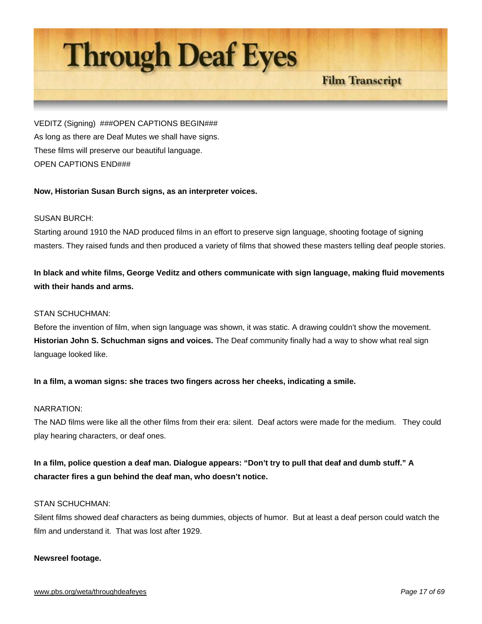# **Through Deaf Eyes**

**Film Transcript** 

VEDITZ (Signing) ###OPEN CAPTIONS BEGIN### As long as there are Deaf Mutes we shall have signs. These films will preserve our beautiful language. OPEN CAPTIONS END###

# **Now, Historian Susan Burch signs, as an interpreter voices.**

# SUSAN BURCH:

Starting around 1910 the NAD produced films in an effort to preserve sign language, shooting footage of signing masters. They raised funds and then produced a variety of films that showed these masters telling deaf people stories.

# **In black and white films, George Veditz and others communicate with sign language, making fluid movements with their hands and arms.**

## STAN SCHUCHMAN:

Before the invention of film, when sign language was shown, it was static. A drawing couldn't show the movement. **Historian John S. Schuchman signs and voices.** The Deaf community finally had a way to show what real sign language looked like.

# **In a film, a woman signs: she traces two fingers across her cheeks, indicating a smile.**

# NARRATION:

The NAD films were like all the other films from their era: silent. Deaf actors were made for the medium. They could play hearing characters, or deaf ones.

**In a film, police question a deaf man. Dialogue appears: "Don't try to pull that deaf and dumb stuff." A character fires a gun behind the deaf man, who doesn't notice.**

#### STAN SCHUCHMAN:

Silent films showed deaf characters as being dummies, objects of humor. But at least a deaf person could watch the film and understand it. That was lost after 1929.

#### **Newsreel footage.**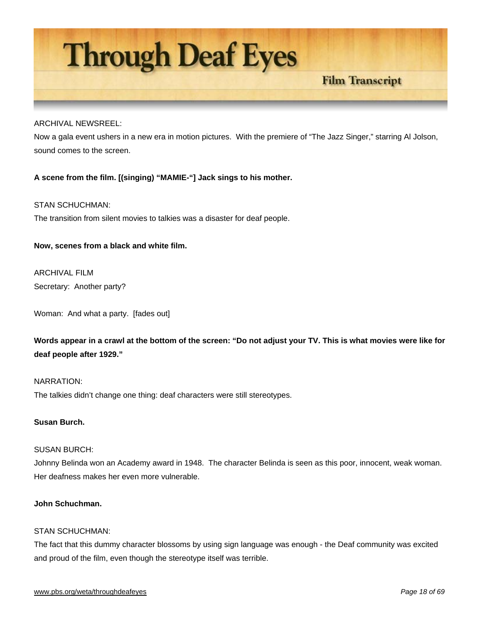

## ARCHIVAL NEWSREEL:

Now a gala event ushers in a new era in motion pictures. With the premiere of "The Jazz Singer," starring Al Jolson, sound comes to the screen.

# **A scene from the film. [(singing) "MAMIE-"] Jack sings to his mother.**

# STAN SCHUCHMAN:

The transition from silent movies to talkies was a disaster for deaf people.

# **Now, scenes from a black and white film.**

ARCHIVAL FILM Secretary: Another party?

Woman: And what a party. [fades out]

**Words appear in a crawl at the bottom of the screen: "Do not adjust your TV. This is what movies were like for deaf people after 1929."** 

# NARRATION:

The talkies didn't change one thing: deaf characters were still stereotypes.

# **Susan Burch.**

#### SUSAN BURCH:

Johnny Belinda won an Academy award in 1948. The character Belinda is seen as this poor, innocent, weak woman. Her deafness makes her even more vulnerable.

# **John Schuchman.**

#### STAN SCHUCHMAN:

The fact that this dummy character blossoms by using sign language was enough - the Deaf community was excited and proud of the film, even though the stereotype itself was terrible.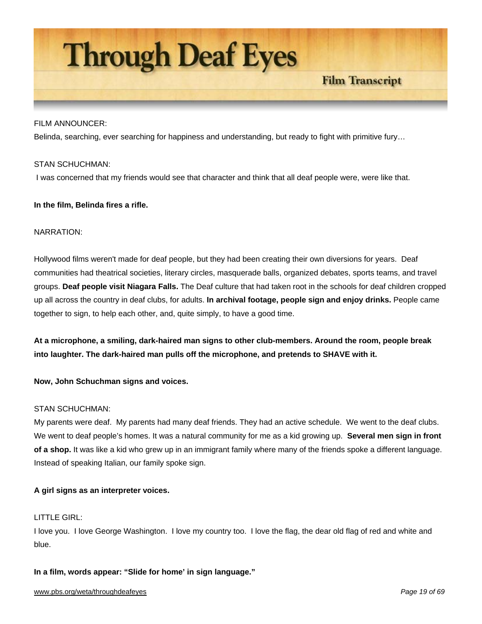

## FILM ANNOUNCER:

Belinda, searching, ever searching for happiness and understanding, but ready to fight with primitive fury…

#### STAN SCHUCHMAN:

I was concerned that my friends would see that character and think that all deaf people were, were like that.

# **In the film, Belinda fires a rifle.**

#### NARRATION:

Hollywood films weren't made for deaf people, but they had been creating their own diversions for years. Deaf communities had theatrical societies, literary circles, masquerade balls, organized debates, sports teams, and travel groups. **Deaf people visit Niagara Falls.** The Deaf culture that had taken root in the schools for deaf children cropped up all across the country in deaf clubs, for adults. **In archival footage, people sign and enjoy drinks.** People came together to sign, to help each other, and, quite simply, to have a good time.

**At a microphone, a smiling, dark-haired man signs to other club-members. Around the room, people break into laughter. The dark-haired man pulls off the microphone, and pretends to SHAVE with it.** 

**Now, John Schuchman signs and voices.**

# STAN SCHUCHMAN:

My parents were deaf. My parents had many deaf friends. They had an active schedule. We went to the deaf clubs. We went to deaf people's homes. It was a natural community for me as a kid growing up. **Several men sign in front of a shop.** It was like a kid who grew up in an immigrant family where many of the friends spoke a different language. Instead of speaking Italian, our family spoke sign.

# **A girl signs as an interpreter voices.**

## LITTLE GIRL:

I love you. I love George Washington. I love my country too. I love the flag, the dear old flag of red and white and blue.

**In a film, words appear: "Slide for home' in sign language."**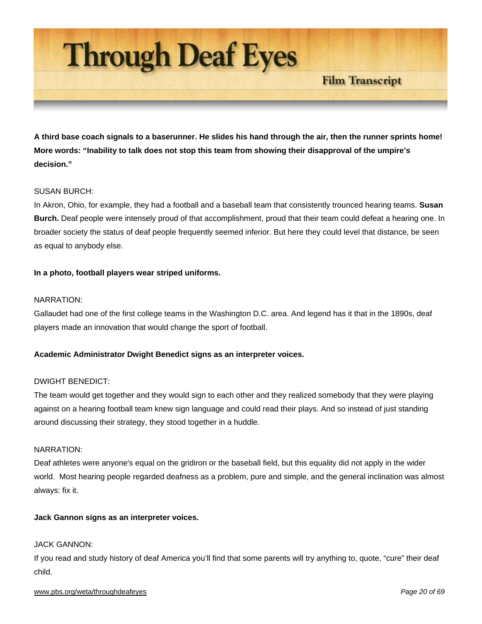

**A third base coach signals to a baserunner. He slides his hand through the air, then the runner sprints home! More words: "Inability to talk does not stop this team from showing their disapproval of the umpire's decision."**

# SUSAN BURCH:

In Akron, Ohio, for example, they had a football and a baseball team that consistently trounced hearing teams. **Susan Burch.** Deaf people were intensely proud of that accomplishment, proud that their team could defeat a hearing one. In broader society the status of deaf people frequently seemed inferior. But here they could level that distance, be seen as equal to anybody else.

# **In a photo, football players wear striped uniforms.**

#### NARRATION:

Gallaudet had one of the first college teams in the Washington D.C. area. And legend has it that in the 1890s, deaf players made an innovation that would change the sport of football.

#### **Academic Administrator Dwight Benedict signs as an interpreter voices.**

## DWIGHT BENEDICT:

The team would get together and they would sign to each other and they realized somebody that they were playing against on a hearing football team knew sign language and could read their plays. And so instead of just standing around discussing their strategy, they stood together in a huddle.

#### NARRATION:

Deaf athletes were anyone's equal on the gridiron or the baseball field, but this equality did not apply in the wider world. Most hearing people regarded deafness as a problem, pure and simple, and the general inclination was almost always: fix it.

#### **Jack Gannon signs as an interpreter voices.**

#### JACK GANNON:

If you read and study history of deaf America you'll find that some parents will try anything to, quote, "cure" their deaf child.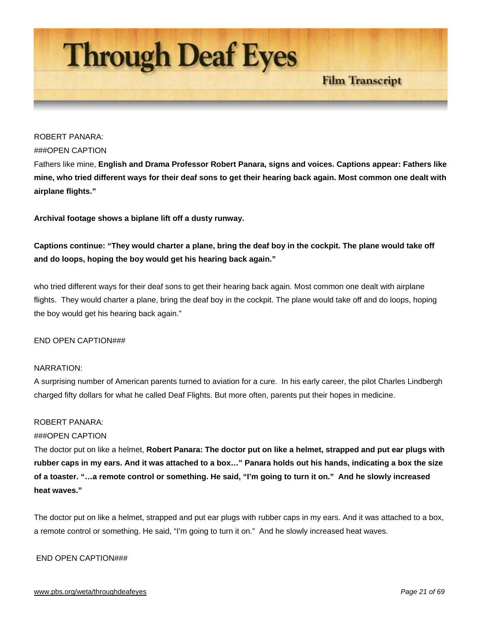

# ROBERT PANARA:

#### ###OPEN CAPTION

Fathers like mine, **English and Drama Professor Robert Panara, signs and voices. Captions appear: Fathers like mine, who tried different ways for their deaf sons to get their hearing back again. Most common one dealt with airplane flights."** 

**Archival footage shows a biplane lift off a dusty runway.** 

**Captions continue: "They would charter a plane, bring the deaf boy in the cockpit. The plane would take off and do loops, hoping the boy would get his hearing back again."**

who tried different ways for their deaf sons to get their hearing back again. Most common one dealt with airplane flights. They would charter a plane, bring the deaf boy in the cockpit. The plane would take off and do loops, hoping the boy would get his hearing back again."

#### END OPEN CAPTION###

# NARRATION:

A surprising number of American parents turned to aviation for a cure. In his early career, the pilot Charles Lindbergh charged fifty dollars for what he called Deaf Flights. But more often, parents put their hopes in medicine.

#### ROBERT PANARA:

#### ###OPEN CAPTION

The doctor put on like a helmet, **Robert Panara: The doctor put on like a helmet, strapped and put ear plugs with rubber caps in my ears. And it was attached to a box…" Panara holds out his hands, indicating a box the size of a toaster. "…a remote control or something. He said, "I'm going to turn it on." And he slowly increased heat waves."**

The doctor put on like a helmet, strapped and put ear plugs with rubber caps in my ears. And it was attached to a box, a remote control or something. He said, "I'm going to turn it on." And he slowly increased heat waves.

#### END OPEN CAPTION###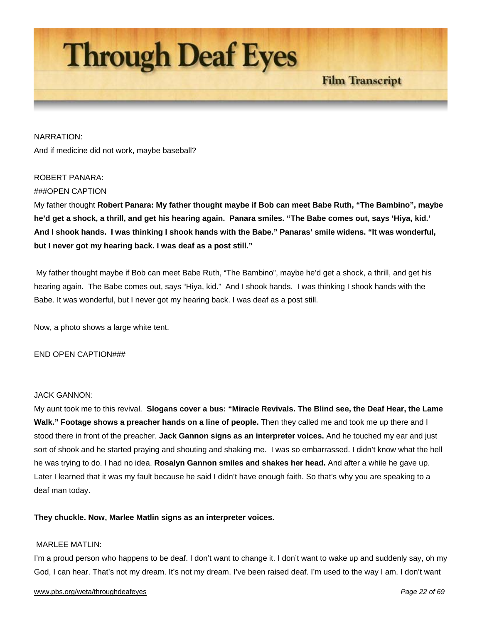

NARRATION: And if medicine did not work, maybe baseball?

# ROBERT PANARA:

# ###OPEN CAPTION

My father thought **Robert Panara: My father thought maybe if Bob can meet Babe Ruth, "The Bambino", maybe he'd get a shock, a thrill, and get his hearing again. Panara smiles. "The Babe comes out, says 'Hiya, kid.' And I shook hands. I was thinking I shook hands with the Babe." Panaras' smile widens. "It was wonderful, but I never got my hearing back. I was deaf as a post still."**

 My father thought maybe if Bob can meet Babe Ruth, "The Bambino", maybe he'd get a shock, a thrill, and get his hearing again. The Babe comes out, says "Hiya, kid." And I shook hands. I was thinking I shook hands with the Babe. It was wonderful, but I never got my hearing back. I was deaf as a post still.

Now, a photo shows a large white tent.

#### END OPEN CAPTION###

#### JACK GANNON:

My aunt took me to this revival. **Slogans cover a bus: "Miracle Revivals. The Blind see, the Deaf Hear, the Lame Walk." Footage shows a preacher hands on a line of people.** Then they called me and took me up there and I stood there in front of the preacher. **Jack Gannon signs as an interpreter voices.** And he touched my ear and just sort of shook and he started praying and shouting and shaking me. I was so embarrassed. I didn't know what the hell he was trying to do. I had no idea. **Rosalyn Gannon smiles and shakes her head.** And after a while he gave up. Later I learned that it was my fault because he said I didn't have enough faith. So that's why you are speaking to a deaf man today.

# **They chuckle. Now, Marlee Matlin signs as an interpreter voices.**

#### MARLEE MATLIN:

I'm a proud person who happens to be deaf. I don't want to change it. I don't want to wake up and suddenly say, oh my God, I can hear. That's not my dream. It's not my dream. I've been raised deaf. I'm used to the way I am. I don't want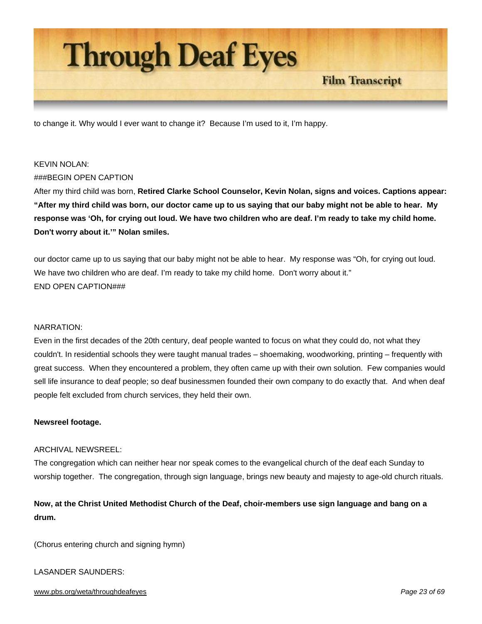

to change it. Why would I ever want to change it? Because I'm used to it, I'm happy.

#### KEVIN NOLAN:

#### ###BEGIN OPEN CAPTION

After my third child was born, **Retired Clarke School Counselor, Kevin Nolan, signs and voices. Captions appear: "After my third child was born, our doctor came up to us saying that our baby might not be able to hear. My response was 'Oh, for crying out loud. We have two children who are deaf. I'm ready to take my child home. Don't worry about it.'" Nolan smiles.** 

our doctor came up to us saying that our baby might not be able to hear. My response was "Oh, for crying out loud. We have two children who are deaf. I'm ready to take my child home. Don't worry about it." END OPEN CAPTION###

#### NARRATION:

Even in the first decades of the 20th century, deaf people wanted to focus on what they could do, not what they couldn't. In residential schools they were taught manual trades – shoemaking, woodworking, printing – frequently with great success. When they encountered a problem, they often came up with their own solution. Few companies would sell life insurance to deaf people; so deaf businessmen founded their own company to do exactly that. And when deaf people felt excluded from church services, they held their own.

#### **Newsreel footage.**

#### ARCHIVAL NEWSREEL:

The congregation which can neither hear nor speak comes to the evangelical church of the deaf each Sunday to worship together. The congregation, through sign language, brings new beauty and majesty to age-old church rituals.

# **Now, at the Christ United Methodist Church of the Deaf, choir-members use sign language and bang on a drum.**

(Chorus entering church and signing hymn)

#### LASANDER SAUNDERS:

#### www.pbs.org/weta/throughdeafeyes *Page 23 of 69*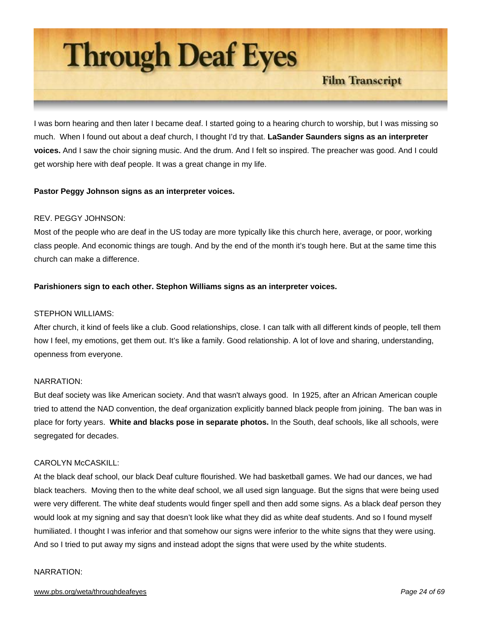

I was born hearing and then later I became deaf. I started going to a hearing church to worship, but I was missing so much. When I found out about a deaf church, I thought I'd try that. **LaSander Saunders signs as an interpreter voices.** And I saw the choir signing music. And the drum. And I felt so inspired. The preacher was good. And I could get worship here with deaf people. It was a great change in my life.

# **Pastor Peggy Johnson signs as an interpreter voices.**

# REV. PEGGY JOHNSON:

Most of the people who are deaf in the US today are more typically like this church here, average, or poor, working class people. And economic things are tough. And by the end of the month it's tough here. But at the same time this church can make a difference.

# **Parishioners sign to each other. Stephon Williams signs as an interpreter voices.**

#### STEPHON WILLIAMS:

After church, it kind of feels like a club. Good relationships, close. I can talk with all different kinds of people, tell them how I feel, my emotions, get them out. It's like a family. Good relationship. A lot of love and sharing, understanding, openness from everyone.

## NARRATION:

But deaf society was like American society. And that wasn't always good. In 1925, after an African American couple tried to attend the NAD convention, the deaf organization explicitly banned black people from joining. The ban was in place for forty years. **White and blacks pose in separate photos.** In the South, deaf schools, like all schools, were segregated for decades.

#### CAROLYN McCASKILL:

At the black deaf school, our black Deaf culture flourished. We had basketball games. We had our dances, we had black teachers. Moving then to the white deaf school, we all used sign language. But the signs that were being used were very different. The white deaf students would finger spell and then add some signs. As a black deaf person they would look at my signing and say that doesn't look like what they did as white deaf students. And so I found myself humiliated. I thought I was inferior and that somehow our signs were inferior to the white signs that they were using. And so I tried to put away my signs and instead adopt the signs that were used by the white students.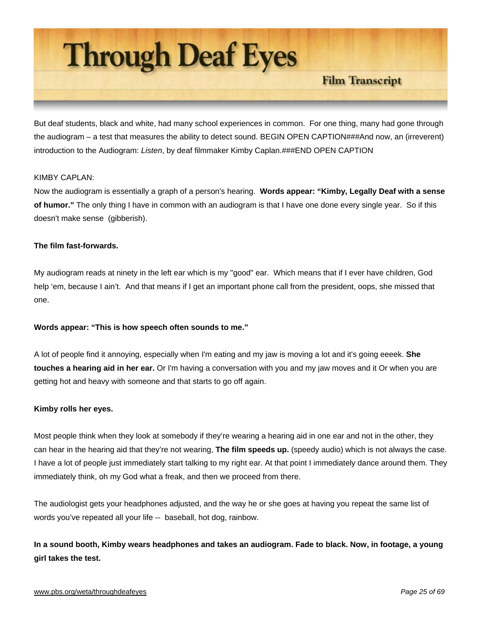

But deaf students, black and white, had many school experiences in common. For one thing, many had gone through the audiogram – a test that measures the ability to detect sound. BEGIN OPEN CAPTION###And now, an (irreverent) introduction to the Audiogram: *Listen*, by deaf filmmaker Kimby Caplan.###END OPEN CAPTION

# KIMBY CAPI AN<sup>.</sup>

Now the audiogram is essentially a graph of a person's hearing. **Words appear: "Kimby, Legally Deaf with a sense of humor."** The only thing I have in common with an audiogram is that I have one done every single year. So if this doesn't make sense (gibberish).

# **The film fast-forwards.**

My audiogram reads at ninety in the left ear which is my "good" ear. Which means that if I ever have children, God help 'em, because I ain't. And that means if I get an important phone call from the president, oops, she missed that one.

# **Words appear: "This is how speech often sounds to me."**

A lot of people find it annoying, especially when I'm eating and my jaw is moving a lot and it's going eeeek. **She touches a hearing aid in her ear.** Or I'm having a conversation with you and my jaw moves and it Or when you are getting hot and heavy with someone and that starts to go off again.

#### **Kimby rolls her eyes.**

Most people think when they look at somebody if they're wearing a hearing aid in one ear and not in the other, they can hear in the hearing aid that they're not wearing, **The film speeds up.** (speedy audio) which is not always the case. I have a lot of people just immediately start talking to my right ear. At that point I immediately dance around them. They immediately think, oh my God what a freak, and then we proceed from there.

The audiologist gets your headphones adjusted, and the way he or she goes at having you repeat the same list of words you've repeated all your life -- baseball, hot dog, rainbow.

**In a sound booth, Kimby wears headphones and takes an audiogram. Fade to black. Now, in footage, a young girl takes the test.** 

#### www.pbs.org/weta/throughdeafeyes *Page 25 of 69*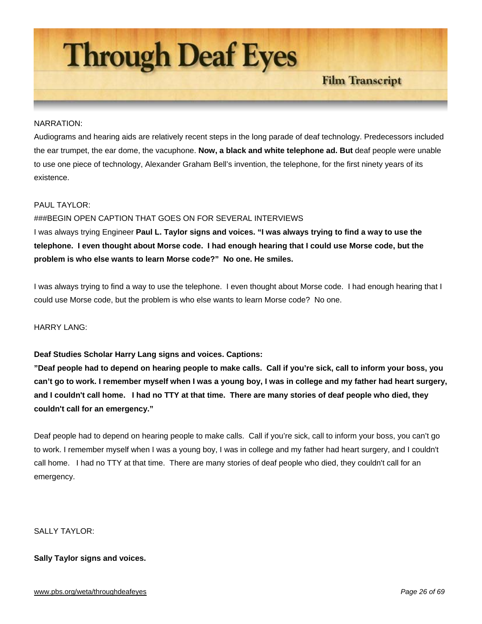

#### NARRATION:

Audiograms and hearing aids are relatively recent steps in the long parade of deaf technology. Predecessors included the ear trumpet, the ear dome, the vacuphone. **Now, a black and white telephone ad. But** deaf people were unable to use one piece of technology, Alexander Graham Bell's invention, the telephone, for the first ninety years of its existence.

## PAUL TAYLOR:

#### ###BEGIN OPEN CAPTION THAT GOES ON FOR SEVERAL INTERVIEWS

I was always trying Engineer **Paul L. Taylor signs and voices. "I was always trying to find a way to use the telephone. I even thought about Morse code. I had enough hearing that I could use Morse code, but the problem is who else wants to learn Morse code?" No one. He smiles.**

I was always trying to find a way to use the telephone. I even thought about Morse code. I had enough hearing that I could use Morse code, but the problem is who else wants to learn Morse code? No one.

HARRY LANG:

#### **Deaf Studies Scholar Harry Lang signs and voices. Captions:**

**"Deaf people had to depend on hearing people to make calls. Call if you're sick, call to inform your boss, you can't go to work. I remember myself when I was a young boy, I was in college and my father had heart surgery, and I couldn't call home. I had no TTY at that time. There are many stories of deaf people who died, they couldn't call for an emergency."**

Deaf people had to depend on hearing people to make calls. Call if you're sick, call to inform your boss, you can't go to work. I remember myself when I was a young boy, I was in college and my father had heart surgery, and I couldn't call home. I had no TTY at that time. There are many stories of deaf people who died, they couldn't call for an emergency.

# SALLY TAYLOR:

# **Sally Taylor signs and voices.**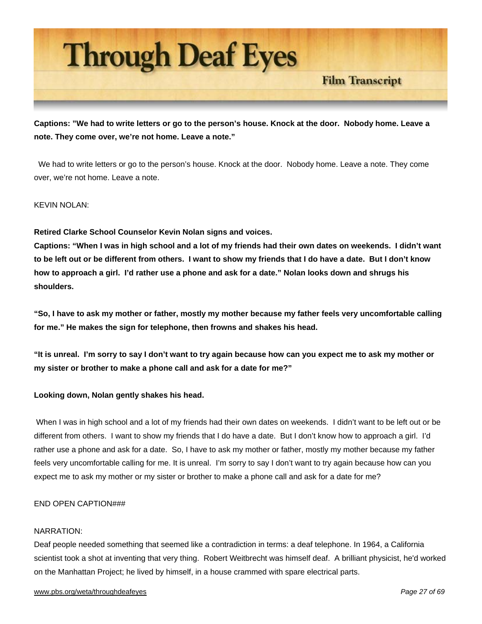

**Captions: "We had to write letters or go to the person's house. Knock at the door. Nobody home. Leave a note. They come over, we're not home. Leave a note."** 

 We had to write letters or go to the person's house. Knock at the door. Nobody home. Leave a note. They come over, we're not home. Leave a note.

# KEVIN NOLAN:

# **Retired Clarke School Counselor Kevin Nolan signs and voices.**

**Captions: "When I was in high school and a lot of my friends had their own dates on weekends. I didn't want to be left out or be different from others. I want to show my friends that I do have a date. But I don't know how to approach a girl. I'd rather use a phone and ask for a date." Nolan looks down and shrugs his shoulders.** 

**"So, I have to ask my mother or father, mostly my mother because my father feels very uncomfortable calling for me." He makes the sign for telephone, then frowns and shakes his head.** 

**"It is unreal. I'm sorry to say I don't want to try again because how can you expect me to ask my mother or my sister or brother to make a phone call and ask for a date for me?"** 

# **Looking down, Nolan gently shakes his head.**

 When I was in high school and a lot of my friends had their own dates on weekends. I didn't want to be left out or be different from others. I want to show my friends that I do have a date. But I don't know how to approach a girl. I'd rather use a phone and ask for a date. So, I have to ask my mother or father, mostly my mother because my father feels very uncomfortable calling for me. It is unreal. I'm sorry to say I don't want to try again because how can you expect me to ask my mother or my sister or brother to make a phone call and ask for a date for me?

#### END OPEN CAPTION###

#### NARRATION:

Deaf people needed something that seemed like a contradiction in terms: a deaf telephone. In 1964, a California scientist took a shot at inventing that very thing. Robert Weitbrecht was himself deaf. A brilliant physicist, he'd worked on the Manhattan Project; he lived by himself, in a house crammed with spare electrical parts.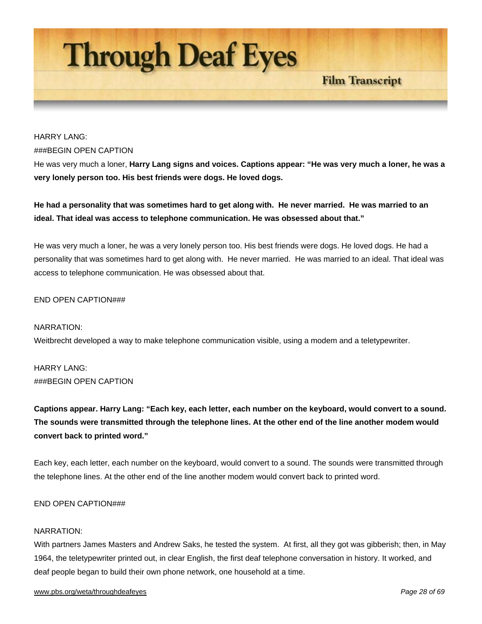

# HARRY LANG: ###BEGIN OPEN CAPTION

He was very much a loner, **Harry Lang signs and voices. Captions appear: "He was very much a loner, he was a very lonely person too. His best friends were dogs. He loved dogs.**

**He had a personality that was sometimes hard to get along with. He never married. He was married to an ideal. That ideal was access to telephone communication. He was obsessed about that."** 

He was very much a loner, he was a very lonely person too. His best friends were dogs. He loved dogs. He had a personality that was sometimes hard to get along with. He never married. He was married to an ideal. That ideal was access to telephone communication. He was obsessed about that.

# END OPEN CAPTION###

# NARRATION: Weitbrecht developed a way to make telephone communication visible, using a modem and a teletypewriter.

HARRY LANG: ###BEGIN OPEN CAPTION

**Captions appear. Harry Lang: "Each key, each letter, each number on the keyboard, would convert to a sound. The sounds were transmitted through the telephone lines. At the other end of the line another modem would convert back to printed word."** 

Each key, each letter, each number on the keyboard, would convert to a sound. The sounds were transmitted through the telephone lines. At the other end of the line another modem would convert back to printed word.

#### END OPEN CAPTION###

#### NARRATION:

With partners James Masters and Andrew Saks, he tested the system. At first, all they got was gibberish; then, in May 1964, the teletypewriter printed out, in clear English, the first deaf telephone conversation in history. It worked, and deaf people began to build their own phone network, one household at a time.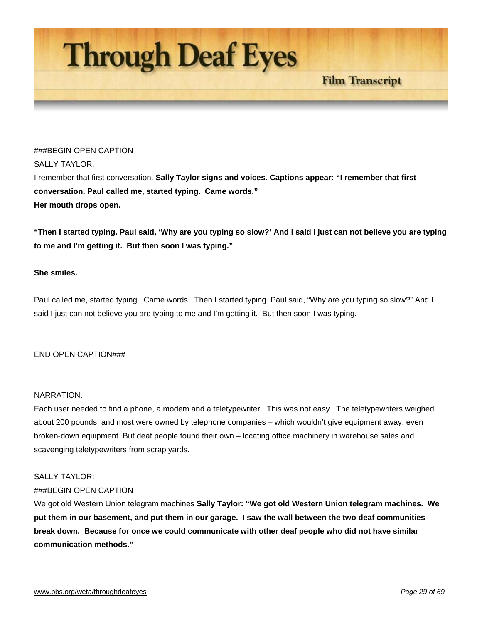

#### ###BEGIN OPEN CAPTION

#### SALLY TAYLOR:

I remember that first conversation. **Sally Taylor signs and voices. Captions appear: "I remember that first conversation. Paul called me, started typing. Came words." Her mouth drops open.** 

**"Then I started typing. Paul said, 'Why are you typing so slow?' And I said I just can not believe you are typing to me and I'm getting it. But then soon I was typing."** 

**Film Transcript** 

# **She smiles.**

Paul called me, started typing. Came words. Then I started typing. Paul said, "Why are you typing so slow?" And I said I just can not believe you are typing to me and I'm getting it. But then soon I was typing.

#### END OPEN CAPTION###

#### NARRATION:

Each user needed to find a phone, a modem and a teletypewriter. This was not easy. The teletypewriters weighed about 200 pounds, and most were owned by telephone companies – which wouldn't give equipment away, even broken-down equipment. But deaf people found their own – locating office machinery in warehouse sales and scavenging teletypewriters from scrap yards.

#### SALLY TAYLOR:

# ###BEGIN OPEN CAPTION

We got old Western Union telegram machines **Sally Taylor: "We got old Western Union telegram machines. We put them in our basement, and put them in our garage. I saw the wall between the two deaf communities break down. Because for once we could communicate with other deaf people who did not have similar communication methods."**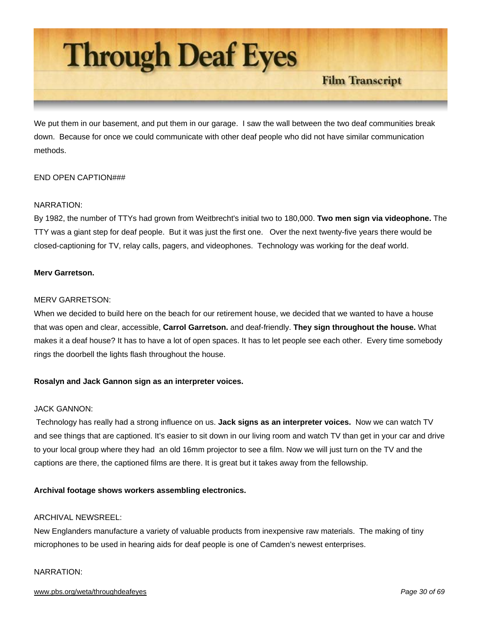

We put them in our basement, and put them in our garage. I saw the wall between the two deaf communities break down. Because for once we could communicate with other deaf people who did not have similar communication methods.

# END OPEN CAPTION###

# NARRATION:

By 1982, the number of TTYs had grown from Weitbrecht's initial two to 180,000. **Two men sign via videophone.** The TTY was a giant step for deaf people. But it was just the first one. Over the next twenty-five years there would be closed-captioning for TV, relay calls, pagers, and videophones. Technology was working for the deaf world.

# **Merv Garretson.**

# MERV GARRETSON:

When we decided to build here on the beach for our retirement house, we decided that we wanted to have a house that was open and clear, accessible, **Carrol Garretson.** and deaf-friendly. **They sign throughout the house.** What makes it a deaf house? It has to have a lot of open spaces. It has to let people see each other. Every time somebody rings the doorbell the lights flash throughout the house.

# **Rosalyn and Jack Gannon sign as an interpreter voices.**

## JACK GANNON:

 Technology has really had a strong influence on us. **Jack signs as an interpreter voices.** Now we can watch TV and see things that are captioned. It's easier to sit down in our living room and watch TV than get in your car and drive to your local group where they had an old 16mm projector to see a film. Now we will just turn on the TV and the captions are there, the captioned films are there. It is great but it takes away from the fellowship.

# **Archival footage shows workers assembling electronics.**

## ARCHIVAL NEWSREEL:

New Englanders manufacture a variety of valuable products from inexpensive raw materials. The making of tiny microphones to be used in hearing aids for deaf people is one of Camden's newest enterprises.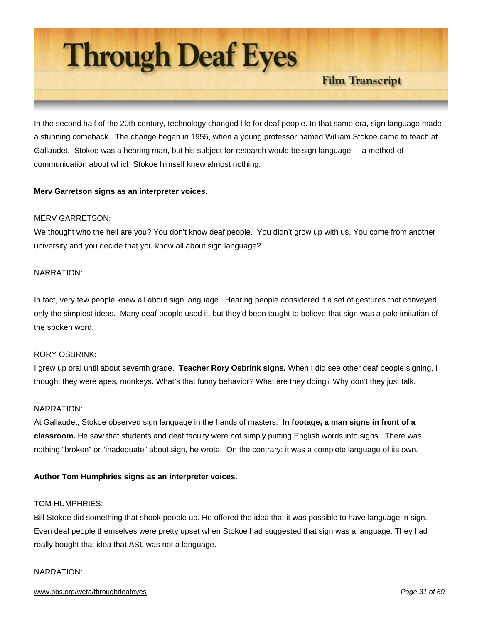

In the second half of the 20th century, technology changed life for deaf people. In that same era, sign language made a stunning comeback. The change began in 1955, when a young professor named William Stokoe came to teach at Gallaudet. Stokoe was a hearing man, but his subject for research would be sign language – a method of communication about which Stokoe himself knew almost nothing.

# **Merv Garretson signs as an interpreter voices.**

#### MERV GARRETSON:

We thought who the hell are you? You don't know deaf people. You didn't grow up with us. You come from another university and you decide that you know all about sign language?

#### NARRATION:

In fact, very few people knew all about sign language. Hearing people considered it a set of gestures that conveyed only the simplest ideas. Many deaf people used it, but they'd been taught to believe that sign was a pale imitation of the spoken word.

#### RORY OSBRINK:

I grew up oral until about seventh grade. **Teacher Rory Osbrink signs.** When I did see other deaf people signing, I thought they were apes, monkeys. What's that funny behavior? What are they doing? Why don't they just talk.

# NARRATION:

At Gallaudet, Stokoe observed sign language in the hands of masters. **In footage, a man signs in front of a classroom.** He saw that students and deaf faculty were not simply putting English words into signs. There was nothing "broken" or "inadequate" about sign, he wrote. On the contrary: it was a complete language of its own.

#### **Author Tom Humphries signs as an interpreter voices.**

#### TOM HUMPHRIES:

Bill Stokoe did something that shook people up. He offered the idea that it was possible to have language in sign. Even deaf people themselves were pretty upset when Stokoe had suggested that sign was a language. They had really bought that idea that ASL was not a language.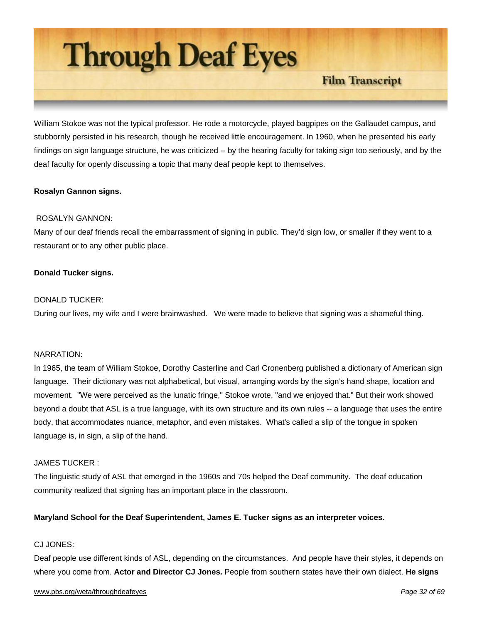**Through Deaf Eyes** 

**Film Transcript** 

William Stokoe was not the typical professor. He rode a motorcycle, played bagpipes on the Gallaudet campus, and stubbornly persisted in his research, though he received little encouragement. In 1960, when he presented his early findings on sign language structure, he was criticized -- by the hearing faculty for taking sign too seriously, and by the deaf faculty for openly discussing a topic that many deaf people kept to themselves.

# **Rosalyn Gannon signs.**

# ROSALYN GANNON:

Many of our deaf friends recall the embarrassment of signing in public. They'd sign low, or smaller if they went to a restaurant or to any other public place.

# **Donald Tucker signs.**

# DONALD TUCKER:

During our lives, my wife and I were brainwashed. We were made to believe that signing was a shameful thing.

#### NARRATION:

In 1965, the team of William Stokoe, Dorothy Casterline and Carl Cronenberg published a dictionary of American sign language. Their dictionary was not alphabetical, but visual, arranging words by the sign's hand shape, location and movement. "We were perceived as the lunatic fringe," Stokoe wrote, "and we enjoyed that." But their work showed beyond a doubt that ASL is a true language, with its own structure and its own rules -- a language that uses the entire body, that accommodates nuance, metaphor, and even mistakes. What's called a slip of the tongue in spoken language is, in sign, a slip of the hand.

#### JAMES TUCKER :

The linguistic study of ASL that emerged in the 1960s and 70s helped the Deaf community. The deaf education community realized that signing has an important place in the classroom.

#### **Maryland School for the Deaf Superintendent, James E. Tucker signs as an interpreter voices.**

# CJ JONES:

Deaf people use different kinds of ASL, depending on the circumstances. And people have their styles, it depends on where you come from. **Actor and Director CJ Jones.** People from southern states have their own dialect. **He signs**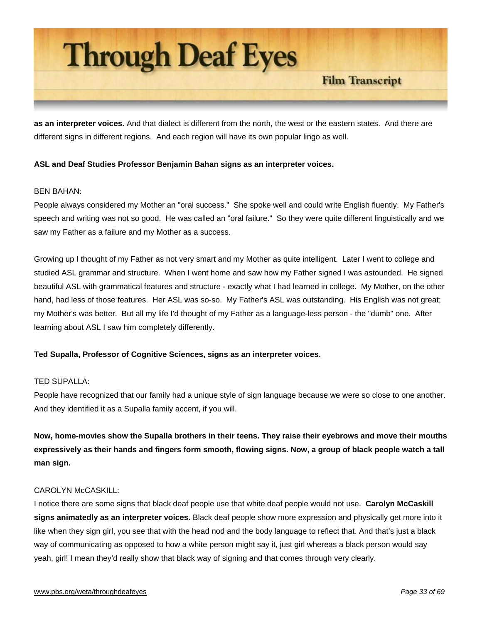

**as an interpreter voices.** And that dialect is different from the north, the west or the eastern states. And there are different signs in different regions. And each region will have its own popular lingo as well.

# **ASL and Deaf Studies Professor Benjamin Bahan signs as an interpreter voices.**

#### BEN BAHAN:

People always considered my Mother an "oral success." She spoke well and could write English fluently. My Father's speech and writing was not so good. He was called an "oral failure." So they were quite different linguistically and we saw my Father as a failure and my Mother as a success.

Growing up I thought of my Father as not very smart and my Mother as quite intelligent. Later I went to college and studied ASL grammar and structure. When I went home and saw how my Father signed I was astounded. He signed beautiful ASL with grammatical features and structure - exactly what I had learned in college. My Mother, on the other hand, had less of those features. Her ASL was so-so. My Father's ASL was outstanding. His English was not great; my Mother's was better. But all my life I'd thought of my Father as a language-less person - the "dumb" one. After learning about ASL I saw him completely differently.

# **Ted Supalla, Professor of Cognitive Sciences, signs as an interpreter voices.**

## TED SUPALLA:

People have recognized that our family had a unique style of sign language because we were so close to one another. And they identified it as a Supalla family accent, if you will.

**Now, home-movies show the Supalla brothers in their teens. They raise their eyebrows and move their mouths expressively as their hands and fingers form smooth, flowing signs. Now, a group of black people watch a tall man sign.**

# CAROLYN McCASKILL:

I notice there are some signs that black deaf people use that white deaf people would not use. **Carolyn McCaskill signs animatedly as an interpreter voices.** Black deaf people show more expression and physically get more into it like when they sign girl, you see that with the head nod and the body language to reflect that. And that's just a black way of communicating as opposed to how a white person might say it, just girl whereas a black person would say yeah, girl! I mean they'd really show that black way of signing and that comes through very clearly.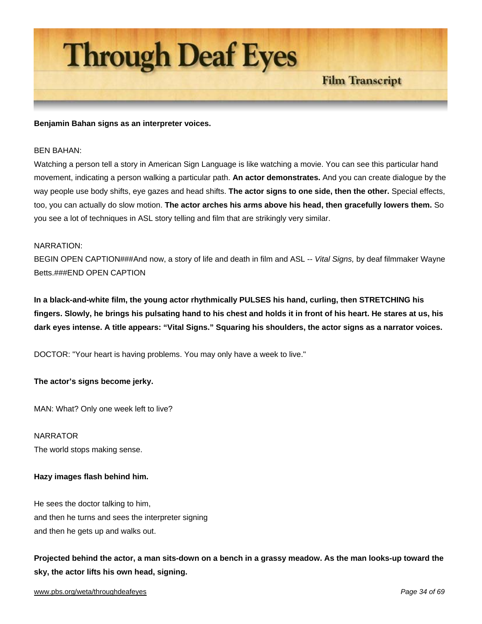

#### **Benjamin Bahan signs as an interpreter voices.**

#### BEN BAHAN:

Watching a person tell a story in American Sign Language is like watching a movie. You can see this particular hand movement, indicating a person walking a particular path. **An actor demonstrates.** And you can create dialogue by the way people use body shifts, eye gazes and head shifts. **The actor signs to one side, then the other.** Special effects, too, you can actually do slow motion. **The actor arches his arms above his head, then gracefully lowers them.** So you see a lot of techniques in ASL story telling and film that are strikingly very similar.

**Film Transcript** 

#### NARRATION:

BEGIN OPEN CAPTION###And now, a story of life and death in film and ASL -- *Vital Signs,* by deaf filmmaker Wayne Betts.###END OPEN CAPTION

**In a black-and-white film, the young actor rhythmically PULSES his hand, curling, then STRETCHING his fingers. Slowly, he brings his pulsating hand to his chest and holds it in front of his heart. He stares at us, his dark eyes intense. A title appears: "Vital Signs." Squaring his shoulders, the actor signs as a narrator voices.** 

DOCTOR: "Your heart is having problems. You may only have a week to live."

#### **The actor's signs become jerky.**

MAN: What? Only one week left to live?

NARRATOR The world stops making sense.

#### **Hazy images flash behind him.**

He sees the doctor talking to him, and then he turns and sees the interpreter signing and then he gets up and walks out.

**Projected behind the actor, a man sits-down on a bench in a grassy meadow. As the man looks-up toward the sky, the actor lifts his own head, signing.**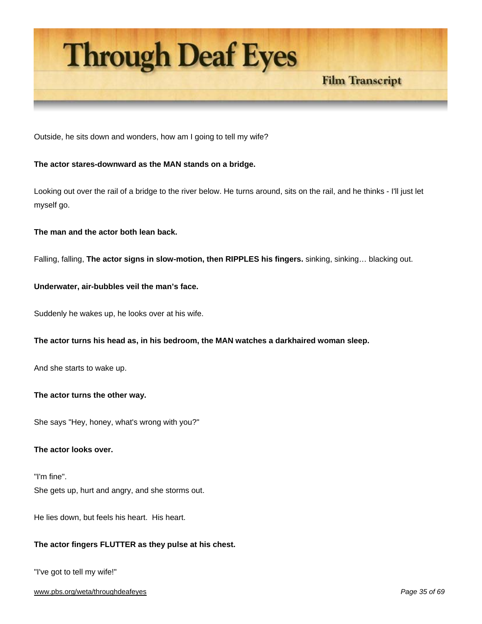

Outside, he sits down and wonders, how am I going to tell my wife?

# **The actor stares-downward as the MAN stands on a bridge.**

Looking out over the rail of a bridge to the river below. He turns around, sits on the rail, and he thinks - I'll just let myself go.

**The man and the actor both lean back.** 

Falling, falling, **The actor signs in slow-motion, then RIPPLES his fingers.** sinking, sinking… blacking out.

# **Underwater, air-bubbles veil the man's face.**

Suddenly he wakes up, he looks over at his wife.

#### **The actor turns his head as, in his bedroom, the MAN watches a darkhaired woman sleep.**

And she starts to wake up.

#### **The actor turns the other way.**

She says "Hey, honey, what's wrong with you?"

#### **The actor looks over.**

"I'm fine". She gets up, hurt and angry, and she storms out.

He lies down, but feels his heart. His heart.

## **The actor fingers FLUTTER as they pulse at his chest.**

"I've got to tell my wife!"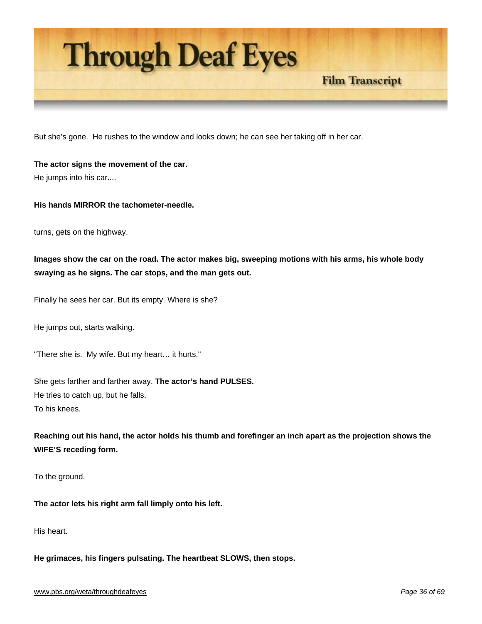

But she's gone. He rushes to the window and looks down; he can see her taking off in her car.

**The actor signs the movement of the car.**  He jumps into his car....

# **His hands MIRROR the tachometer-needle.**

turns, gets on the highway.

# **Images show the car on the road. The actor makes big, sweeping motions with his arms, his whole body swaying as he signs. The car stops, and the man gets out.**

Finally he sees her car. But its empty. Where is she?

He jumps out, starts walking.

"There she is. My wife. But my heart… it hurts."

She gets farther and farther away. **The actor's hand PULSES.** He tries to catch up, but he falls. To his knees.

**Reaching out his hand, the actor holds his thumb and forefinger an inch apart as the projection shows the WIFE'S receding form.** 

To the ground.

**The actor lets his right arm fall limply onto his left.** 

His heart.

**He grimaces, his fingers pulsating. The heartbeat SLOWS, then stops.** 

**Film Transcript**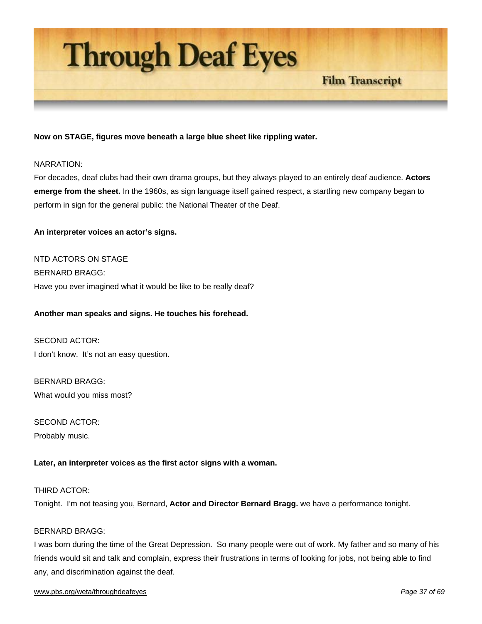

# **Now on STAGE, figures move beneath a large blue sheet like rippling water.**

#### NARRATION:

For decades, deaf clubs had their own drama groups, but they always played to an entirely deaf audience. **Actors emerge from the sheet.** In the 1960s, as sign language itself gained respect, a startling new company began to perform in sign for the general public: the National Theater of the Deaf.

#### **An interpreter voices an actor's signs.**

NTD ACTORS ON STAGE BERNARD BRAGG: Have you ever imagined what it would be like to be really deaf?

#### **Another man speaks and signs. He touches his forehead.**

SECOND ACTOR: I don't know. It's not an easy question.

BERNARD BRAGG: What would you miss most?

SECOND ACTOR: Probably music.

#### **Later, an interpreter voices as the first actor signs with a woman.**

# THIRD ACTOR: Tonight. I'm not teasing you, Bernard, **Actor and Director Bernard Bragg.** we have a performance tonight.

#### BERNARD BRAGG:

I was born during the time of the Great Depression. So many people were out of work. My father and so many of his friends would sit and talk and complain, express their frustrations in terms of looking for jobs, not being able to find any, and discrimination against the deaf.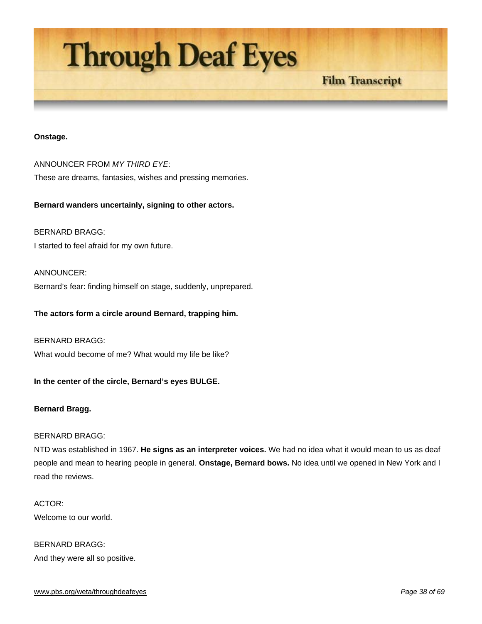

#### **Onstage.**

ANNOUNCER FROM *MY THIRD EYE*: These are dreams, fantasies, wishes and pressing memories.

**Bernard wanders uncertainly, signing to other actors.** 

BERNARD BRAGG: I started to feel afraid for my own future.

ANNOUNCER:

Bernard's fear: finding himself on stage, suddenly, unprepared.

**The actors form a circle around Bernard, trapping him.** 

BERNARD BRAGG: What would become of me? What would my life be like?

**In the center of the circle, Bernard's eyes BULGE.** 

#### **Bernard Bragg.**

# BERNARD BRAGG:

NTD was established in 1967. **He signs as an interpreter voices.** We had no idea what it would mean to us as deaf people and mean to hearing people in general. **Onstage, Bernard bows.** No idea until we opened in New York and I read the reviews.

ACTOR: Welcome to our world.

BERNARD BRAGG: And they were all so positive.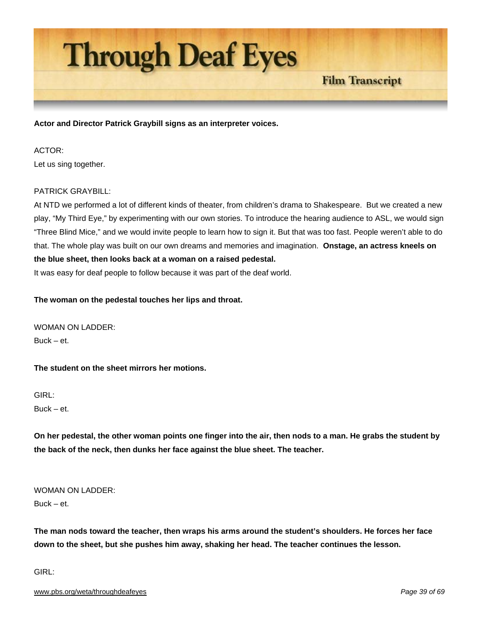

**Actor and Director Patrick Graybill signs as an interpreter voices.** 

## ACTOR:

Let us sing together.

# PATRICK GRAYBILL:

At NTD we performed a lot of different kinds of theater, from children's drama to Shakespeare. But we created a new play, "My Third Eye," by experimenting with our own stories. To introduce the hearing audience to ASL, we would sign "Three Blind Mice," and we would invite people to learn how to sign it. But that was too fast. People weren't able to do that. The whole play was built on our own dreams and memories and imagination. **Onstage, an actress kneels on the blue sheet, then looks back at a woman on a raised pedestal.**

It was easy for deaf people to follow because it was part of the deaf world.

**The woman on the pedestal touches her lips and throat.** 

WOMAN ON LADDER:  $Buck - et$ 

**The student on the sheet mirrors her motions.** 

GIRL:  $Buck - et$ 

**On her pedestal, the other woman points one finger into the air, then nods to a man. He grabs the student by the back of the neck, then dunks her face against the blue sheet. The teacher.** 

WOMAN ON LADDER:

Buck – et.

**The man nods toward the teacher, then wraps his arms around the student's shoulders. He forces her face down to the sheet, but she pushes him away, shaking her head. The teacher continues the lesson.** 

GIRL: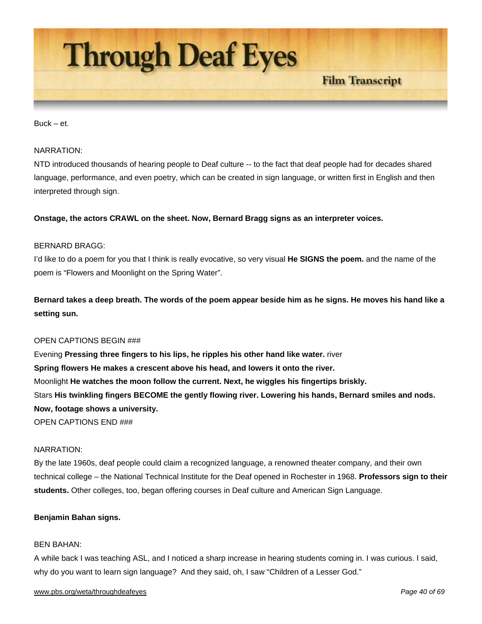

#### $Buck - et$

#### NARRATION:

NTD introduced thousands of hearing people to Deaf culture -- to the fact that deaf people had for decades shared language, performance, and even poetry, which can be created in sign language, or written first in English and then interpreted through sign.

#### **Onstage, the actors CRAWL on the sheet. Now, Bernard Bragg signs as an interpreter voices.**

#### BERNARD BRAGG:

I'd like to do a poem for you that I think is really evocative, so very visual **He SIGNS the poem.** and the name of the poem is "Flowers and Moonlight on the Spring Water".

**Bernard takes a deep breath. The words of the poem appear beside him as he signs. He moves his hand like a setting sun.** 

#### OPEN CAPTIONS BEGIN ###

Evening **Pressing three fingers to his lips, he ripples his other hand like water.** river **Spring flowers He makes a crescent above his head, and lowers it onto the river.** Moonlight **He watches the moon follow the current. Next, he wiggles his fingertips briskly.** Stars **His twinkling fingers BECOME the gently flowing river. Lowering his hands, Bernard smiles and nods. Now, footage shows a university.** OPEN CAPTIONS END ###

#### NARRATION:

By the late 1960s, deaf people could claim a recognized language, a renowned theater company, and their own technical college – the National Technical Institute for the Deaf opened in Rochester in 1968. **Professors sign to their students.** Other colleges, too, began offering courses in Deaf culture and American Sign Language.

#### **Benjamin Bahan signs.**

#### BEN BAHAN:

A while back I was teaching ASL, and I noticed a sharp increase in hearing students coming in. I was curious. I said, why do you want to learn sign language? And they said, oh, I saw "Children of a Lesser God."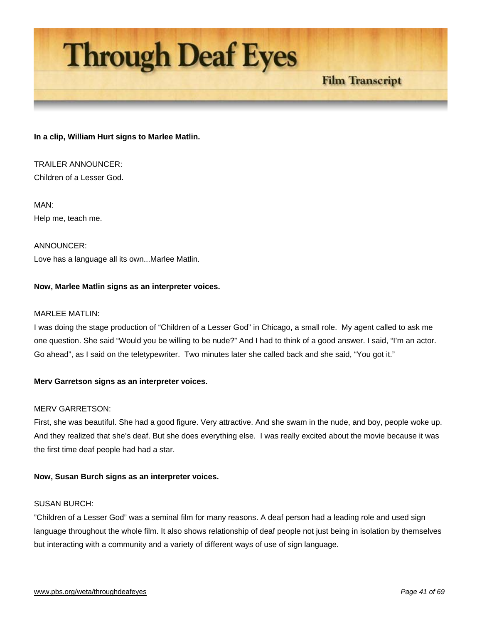

# **In a clip, William Hurt signs to Marlee Matlin.**

TRAILER ANNOUNCER: Children of a Lesser God.

MAN: Help me, teach me.

ANNOUNCER: Love has a language all its own...Marlee Matlin.

# **Now, Marlee Matlin signs as an interpreter voices.**

## MARLEE MATLIN:

I was doing the stage production of "Children of a Lesser God" in Chicago, a small role. My agent called to ask me one question. She said "Would you be willing to be nude?" And I had to think of a good answer. I said, "I'm an actor. Go ahead", as I said on the teletypewriter. Two minutes later she called back and she said, "You got it."

#### **Merv Garretson signs as an interpreter voices.**

## MERV GARRETSON:

First, she was beautiful. She had a good figure. Very attractive. And she swam in the nude, and boy, people woke up. And they realized that she's deaf. But she does everything else. I was really excited about the movie because it was the first time deaf people had had a star.

#### **Now, Susan Burch signs as an interpreter voices.**

#### SUSAN BURCH:

"Children of a Lesser God" was a seminal film for many reasons. A deaf person had a leading role and used sign language throughout the whole film. It also shows relationship of deaf people not just being in isolation by themselves but interacting with a community and a variety of different ways of use of sign language.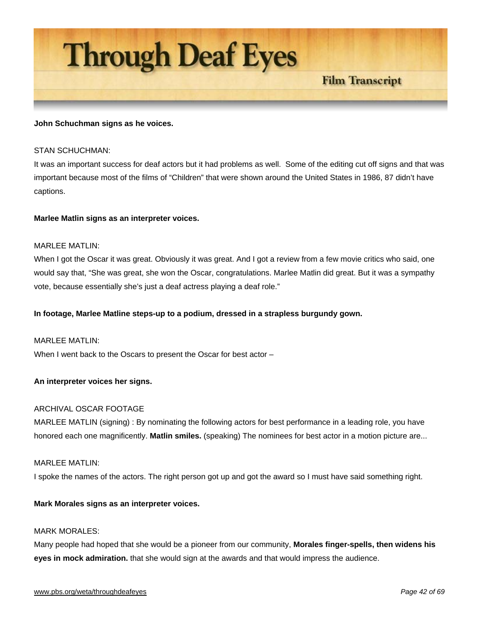

#### **John Schuchman signs as he voices.**

#### STAN SCHUCHMAN:

It was an important success for deaf actors but it had problems as well. Some of the editing cut off signs and that was important because most of the films of "Children" that were shown around the United States in 1986, 87 didn't have captions.

#### **Marlee Matlin signs as an interpreter voices.**

#### MARLEE MATLIN:

When I got the Oscar it was great. Obviously it was great. And I got a review from a few movie critics who said, one would say that, "She was great, she won the Oscar, congratulations. Marlee Matlin did great. But it was a sympathy vote, because essentially she's just a deaf actress playing a deaf role."

#### **In footage, Marlee Matline steps-up to a podium, dressed in a strapless burgundy gown.**

#### MARLEE MATLIN:

When I went back to the Oscars to present the Oscar for best actor –

#### **An interpreter voices her signs.**

## ARCHIVAL OSCAR FOOTAGE

MARLEE MATLIN (signing) : By nominating the following actors for best performance in a leading role, you have honored each one magnificently. **Matlin smiles.** (speaking) The nominees for best actor in a motion picture are...

#### MARLEE MATLIN:

I spoke the names of the actors. The right person got up and got the award so I must have said something right.

#### **Mark Morales signs as an interpreter voices.**

#### MARK MORALES<sup>.</sup>

Many people had hoped that she would be a pioneer from our community, **Morales finger-spells, then widens his eyes in mock admiration.** that she would sign at the awards and that would impress the audience.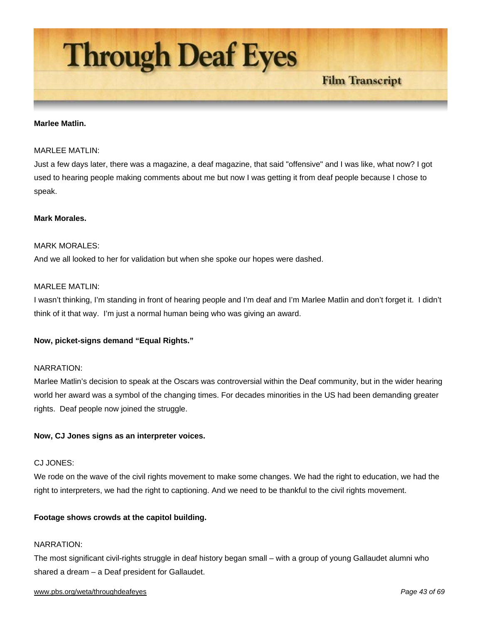

#### **Marlee Matlin.**

#### MARI FF MATLIN<sup>.</sup>

Just a few days later, there was a magazine, a deaf magazine, that said "offensive" and I was like, what now? I got used to hearing people making comments about me but now I was getting it from deaf people because I chose to speak.

#### **Mark Morales.**

#### MARK MORALES<sup>.</sup>

And we all looked to her for validation but when she spoke our hopes were dashed.

# MARLEE MATLIN:

I wasn't thinking, I'm standing in front of hearing people and I'm deaf and I'm Marlee Matlin and don't forget it. I didn't think of it that way. I'm just a normal human being who was giving an award.

#### **Now, picket-signs demand "Equal Rights."**

#### NARRATION:

Marlee Matlin's decision to speak at the Oscars was controversial within the Deaf community, but in the wider hearing world her award was a symbol of the changing times. For decades minorities in the US had been demanding greater rights. Deaf people now joined the struggle.

#### **Now, CJ Jones signs as an interpreter voices.**

#### CJ JONES:

We rode on the wave of the civil rights movement to make some changes. We had the right to education, we had the right to interpreters, we had the right to captioning. And we need to be thankful to the civil rights movement.

#### **Footage shows crowds at the capitol building.**

#### NARRATION:

The most significant civil-rights struggle in deaf history began small – with a group of young Gallaudet alumni who shared a dream – a Deaf president for Gallaudet.

#### www.pbs.org/weta/throughdeafeyes *Page 43 of 69*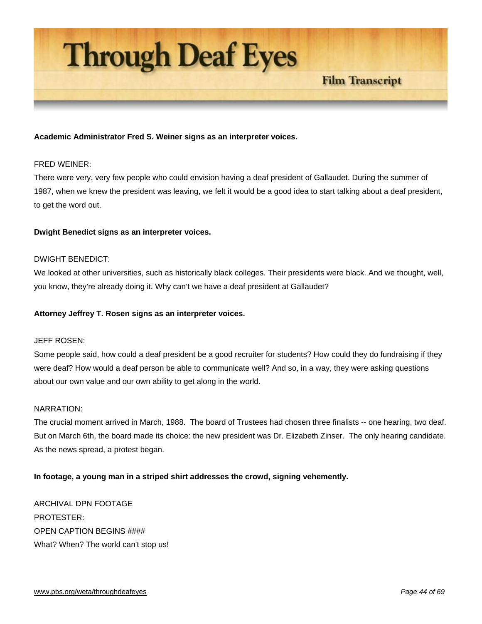

# **Academic Administrator Fred S. Weiner signs as an interpreter voices.**

#### FRED WEINER:

There were very, very few people who could envision having a deaf president of Gallaudet. During the summer of 1987, when we knew the president was leaving, we felt it would be a good idea to start talking about a deaf president, to get the word out.

#### **Dwight Benedict signs as an interpreter voices.**

#### DWIGHT BENEDICT:

We looked at other universities, such as historically black colleges. Their presidents were black. And we thought, well, you know, they're already doing it. Why can't we have a deaf president at Gallaudet?

#### **Attorney Jeffrey T. Rosen signs as an interpreter voices.**

#### JEFF ROSEN:

Some people said, how could a deaf president be a good recruiter for students? How could they do fundraising if they were deaf? How would a deaf person be able to communicate well? And so, in a way, they were asking questions about our own value and our own ability to get along in the world.

#### NARRATION:

The crucial moment arrived in March, 1988. The board of Trustees had chosen three finalists -- one hearing, two deaf. But on March 6th, the board made its choice: the new president was Dr. Elizabeth Zinser. The only hearing candidate. As the news spread, a protest began.

#### **In footage, a young man in a striped shirt addresses the crowd, signing vehemently.**

ARCHIVAL DPN FOOTAGE PROTESTER: OPEN CAPTION BEGINS #### What? When? The world can't stop us!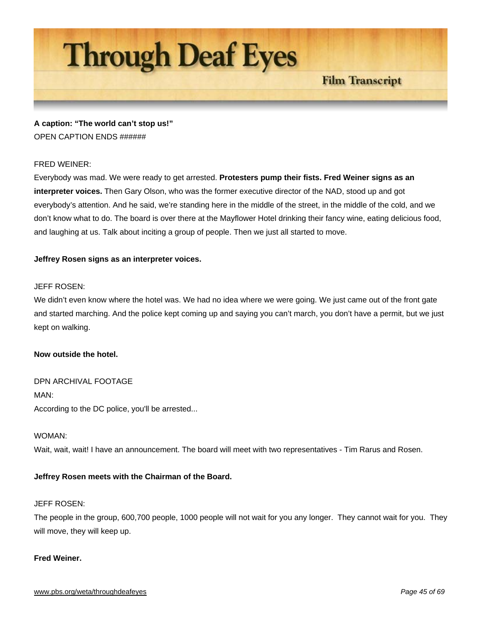

**A caption: "The world can't stop us!"**  OPEN CAPTION ENDS ######

# FRED WEINER:

Everybody was mad. We were ready to get arrested. **Protesters pump their fists. Fred Weiner signs as an interpreter voices.** Then Gary Olson, who was the former executive director of the NAD, stood up and got everybody's attention. And he said, we're standing here in the middle of the street, in the middle of the cold, and we don't know what to do. The board is over there at the Mayflower Hotel drinking their fancy wine, eating delicious food, and laughing at us. Talk about inciting a group of people. Then we just all started to move.

# **Jeffrey Rosen signs as an interpreter voices.**

# JEFF ROSEN:

We didn't even know where the hotel was. We had no idea where we were going. We just came out of the front gate and started marching. And the police kept coming up and saying you can't march, you don't have a permit, but we just kept on walking.

#### **Now outside the hotel.**

DPN ARCHIVAL FOOTAGE MAN: According to the DC police, you'll be arrested...

#### WOMAN:

Wait, wait, wait! I have an announcement. The board will meet with two representatives - Tim Rarus and Rosen.

#### **Jeffrey Rosen meets with the Chairman of the Board.**

# JEFF ROSEN:

The people in the group, 600,700 people, 1000 people will not wait for you any longer. They cannot wait for you. They will move, they will keep up.

#### **Fred Weiner.**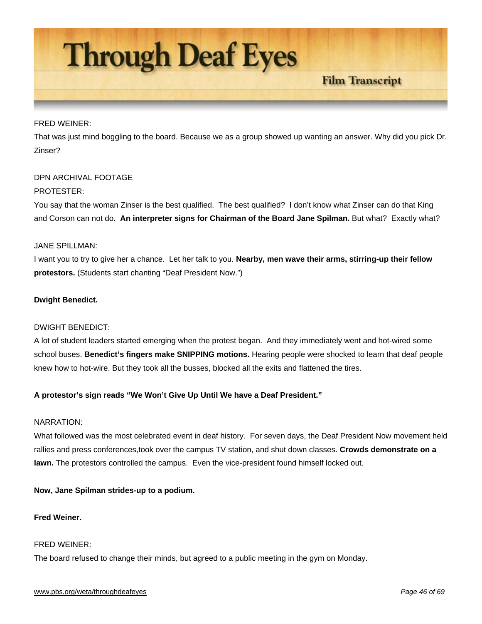

## FRED WEINER:

That was just mind boggling to the board. Because we as a group showed up wanting an answer. Why did you pick Dr. Zinser?

# DPN ARCHIVAL FOOTAGE

# PROTESTER:

You say that the woman Zinser is the best qualified. The best qualified? I don't know what Zinser can do that King and Corson can not do. **An interpreter signs for Chairman of the Board Jane Spilman.** But what? Exactly what?

# JANE SPILLMAN:

I want you to try to give her a chance. Let her talk to you. **Nearby, men wave their arms, stirring-up their fellow protestors.** (Students start chanting "Deaf President Now.")

# **Dwight Benedict.**

# DWIGHT BENEDICT:

A lot of student leaders started emerging when the protest began. And they immediately went and hot-wired some school buses. **Benedict's fingers make SNIPPING motions.** Hearing people were shocked to learn that deaf people knew how to hot-wire. But they took all the busses, blocked all the exits and flattened the tires.

# **A protestor's sign reads "We Won't Give Up Until We have a Deaf President."**

#### NARRATION:

What followed was the most celebrated event in deaf history. For seven days, the Deaf President Now movement held rallies and press conferences,took over the campus TV station, and shut down classes. **Crowds demonstrate on a lawn.** The protestors controlled the campus. Even the vice-president found himself locked out.

# **Now, Jane Spilman strides-up to a podium.**

# **Fred Weiner.**

#### FRED WEINER:

The board refused to change their minds, but agreed to a public meeting in the gym on Monday.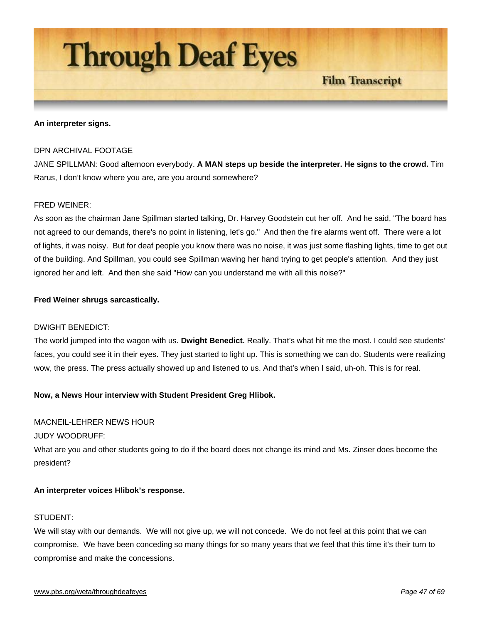

#### **An interpreter signs.**

#### DPN ARCHIVAL FOOTAGE

JANE SPILLMAN: Good afternoon everybody. **A MAN steps up beside the interpreter. He signs to the crowd.** Tim Rarus, I don't know where you are, are you around somewhere?

#### FRED WEINER:

As soon as the chairman Jane Spillman started talking, Dr. Harvey Goodstein cut her off. And he said, "The board has not agreed to our demands, there's no point in listening, let's go." And then the fire alarms went off. There were a lot of lights, it was noisy. But for deaf people you know there was no noise, it was just some flashing lights, time to get out of the building. And Spillman, you could see Spillman waving her hand trying to get people's attention. And they just ignored her and left. And then she said "How can you understand me with all this noise?"

#### **Fred Weiner shrugs sarcastically.**

#### DWIGHT BENEDICT:

The world jumped into the wagon with us. **Dwight Benedict.** Really. That's what hit me the most. I could see students' faces, you could see it in their eyes. They just started to light up. This is something we can do. Students were realizing wow, the press. The press actually showed up and listened to us. And that's when I said, uh-oh. This is for real.

#### **Now, a News Hour interview with Student President Greg Hlibok.**

#### MACNEIL-LEHRER NEWS HOUR

JUDY WOODRUFF:

What are you and other students going to do if the board does not change its mind and Ms. Zinser does become the president?

#### **An interpreter voices Hlibok's response.**

# STUDENT:

We will stay with our demands. We will not give up, we will not concede. We do not feel at this point that we can compromise. We have been conceding so many things for so many years that we feel that this time it's their turn to compromise and make the concessions.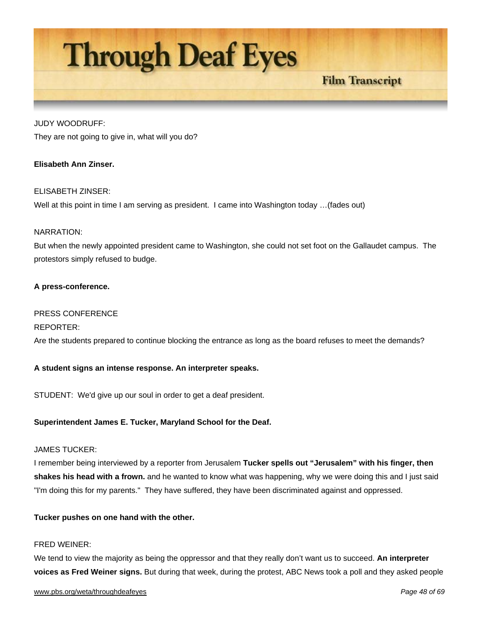# **Through Deaf Eyes**

# **Film Transcript**

# JUDY WOODRUFF:

They are not going to give in, what will you do?

# **Elisabeth Ann Zinser.**

# ELISABETH ZINSER:

Well at this point in time I am serving as president. I came into Washington today …(fades out)

# NARRATION:

But when the newly appointed president came to Washington, she could not set foot on the Gallaudet campus. The protestors simply refused to budge.

# **A press-conference.**

#### PRESS CONFERENCE

#### REPORTER:

Are the students prepared to continue blocking the entrance as long as the board refuses to meet the demands?

#### **A student signs an intense response. An interpreter speaks.**

STUDENT: We'd give up our soul in order to get a deaf president.

#### **Superintendent James E. Tucker, Maryland School for the Deaf.**

#### JAMES TUCKER:

I remember being interviewed by a reporter from Jerusalem **Tucker spells out "Jerusalem" with his finger, then shakes his head with a frown.** and he wanted to know what was happening, why we were doing this and I just said "I'm doing this for my parents." They have suffered, they have been discriminated against and oppressed.

#### **Tucker pushes on one hand with the other.**

#### FRED WEINER:

We tend to view the majority as being the oppressor and that they really don't want us to succeed. **An interpreter voices as Fred Weiner signs.** But during that week, during the protest, ABC News took a poll and they asked people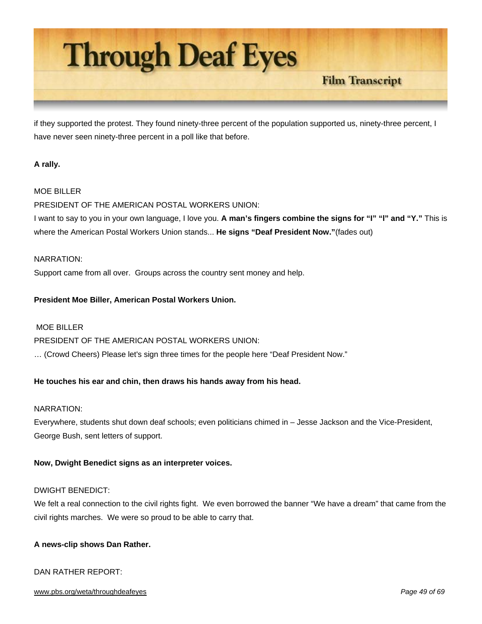

if they supported the protest. They found ninety-three percent of the population supported us, ninety-three percent, I have never seen ninety-three percent in a poll like that before.

# **A rally.**

# MOE BILLER

PRESIDENT OF THE AMERICAN POSTAL WORKERS UNION:

I want to say to you in your own language, I love you. **A man's fingers combine the signs for "I" "l" and "Y."** This is where the American Postal Workers Union stands... **He signs "Deaf President Now."**(fades out)

#### NARRATION:

Support came from all over. Groups across the country sent money and help.

#### **President Moe Biller, American Postal Workers Union.**

#### MOF BILLER

#### PRESIDENT OF THE AMERICAN POSTAL WORKERS UNION:

… (Crowd Cheers) Please let's sign three times for the people here "Deaf President Now."

#### **He touches his ear and chin, then draws his hands away from his head.**

#### NARRATION:

Everywhere, students shut down deaf schools; even politicians chimed in – Jesse Jackson and the Vice-President, George Bush, sent letters of support.

#### **Now, Dwight Benedict signs as an interpreter voices.**

# DWIGHT BENEDICT:

We felt a real connection to the civil rights fight. We even borrowed the banner "We have a dream" that came from the civil rights marches. We were so proud to be able to carry that.

#### **A news-clip shows Dan Rather.**

# DAN RATHER REPORT:

#### www.pbs.org/weta/throughdeafeyes *Page 49 of 69*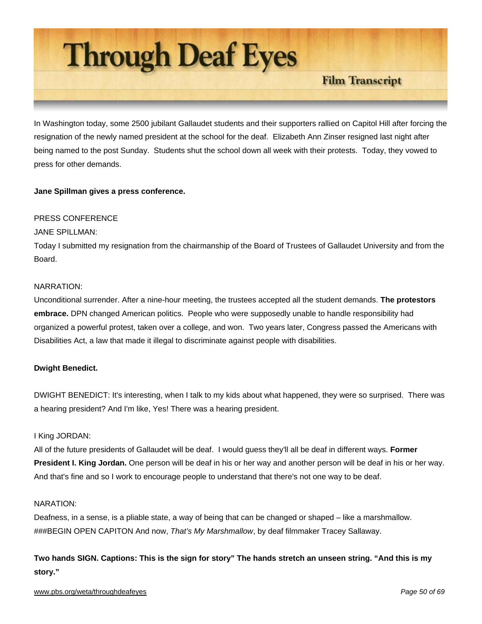

In Washington today, some 2500 jubilant Gallaudet students and their supporters rallied on Capitol Hill after forcing the resignation of the newly named president at the school for the deaf. Elizabeth Ann Zinser resigned last night after being named to the post Sunday. Students shut the school down all week with their protests. Today, they vowed to press for other demands.

# **Jane Spillman gives a press conference.**

# PRESS CONFERENCE

# JANE SPILLMAN:

Today I submitted my resignation from the chairmanship of the Board of Trustees of Gallaudet University and from the **Board** 

# NARRATION:

Unconditional surrender. After a nine-hour meeting, the trustees accepted all the student demands. **The protestors embrace.** DPN changed American politics. People who were supposedly unable to handle responsibility had organized a powerful protest, taken over a college, and won. Two years later, Congress passed the Americans with Disabilities Act, a law that made it illegal to discriminate against people with disabilities.

# **Dwight Benedict.**

DWIGHT BENEDICT: It's interesting, when I talk to my kids about what happened, they were so surprised. There was a hearing president? And I'm like, Yes! There was a hearing president.

# I King JORDAN:

All of the future presidents of Gallaudet will be deaf. I would guess they'll all be deaf in different ways. **Former President I. King Jordan.** One person will be deaf in his or her way and another person will be deaf in his or her way. And that's fine and so I work to encourage people to understand that there's not one way to be deaf.

#### NARATION:

Deafness, in a sense, is a pliable state, a way of being that can be changed or shaped – like a marshmallow. ###BEGIN OPEN CAPITON And now, *That's My Marshmallow*, by deaf filmmaker Tracey Sallaway.

**Two hands SIGN. Captions: This is the sign for story" The hands stretch an unseen string. "And this is my story."**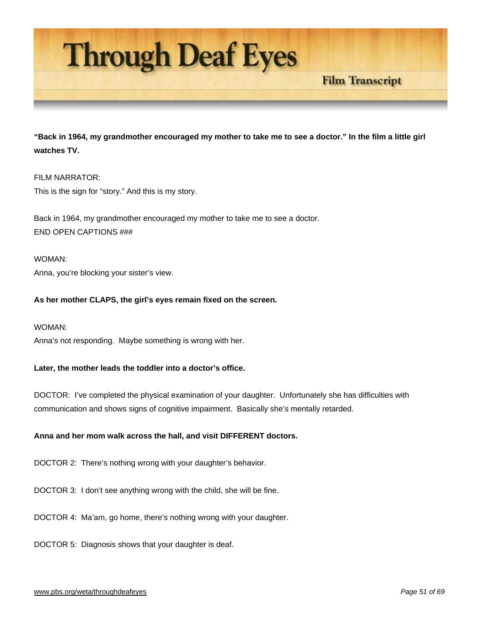

**"Back in 1964, my grandmother encouraged my mother to take me to see a doctor." In the film a little girl watches TV.** 

# FILM NARRATOR:

This is the sign for "story." And this is my story.

Back in 1964, my grandmother encouraged my mother to take me to see a doctor. END OPEN CAPTIONS ###

WOMAN: Anna, you're blocking your sister's view.

# **As her mother CLAPS, the girl's eyes remain fixed on the screen.**

WOMAN:

Anna's not responding. Maybe something is wrong with her.

#### **Later, the mother leads the toddler into a doctor's office.**

DOCTOR: I've completed the physical examination of your daughter. Unfortunately she has difficulties with communication and shows signs of cognitive impairment. Basically she's mentally retarded.

# **Anna and her mom walk across the hall, and visit DIFFERENT doctors.**

DOCTOR 2: There's nothing wrong with your daughter's behavior.

DOCTOR 3: I don't see anything wrong with the child, she will be fine.

DOCTOR 4: Ma'am, go home, there's nothing wrong with your daughter.

DOCTOR 5: Diagnosis shows that your daughter is deaf.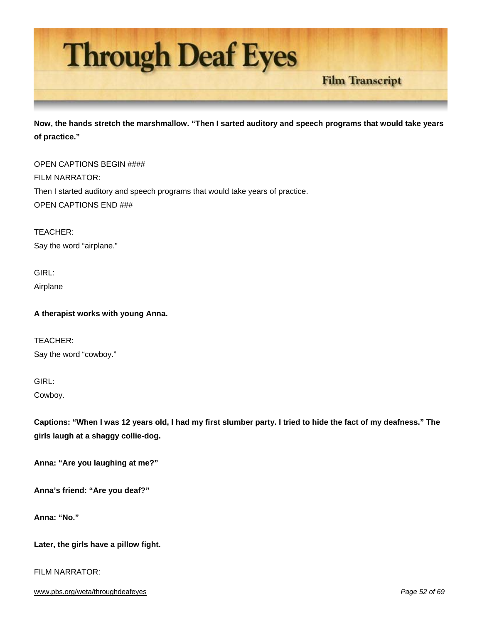

**Now, the hands stretch the marshmallow. "Then I sarted auditory and speech programs that would take years of practice."** 

**Film Transcript** 

OPEN CAPTIONS BEGIN #### FILM NARRATOR: Then I started auditory and speech programs that would take years of practice. OPEN CAPTIONS END ###

TEACHER: Say the word "airplane."

GIRL: Airplane

**A therapist works with young Anna.** 

TEACHER: Say the word "cowboy."

GIRL:

Cowboy.

**Captions: "When I was 12 years old, I had my first slumber party. I tried to hide the fact of my deafness." The girls laugh at a shaggy collie-dog.** 

**Anna: "Are you laughing at me?"** 

**Anna's friend: "Are you deaf?"** 

**Anna: "No."** 

**Later, the girls have a pillow fight.** 

FILM NARRATOR: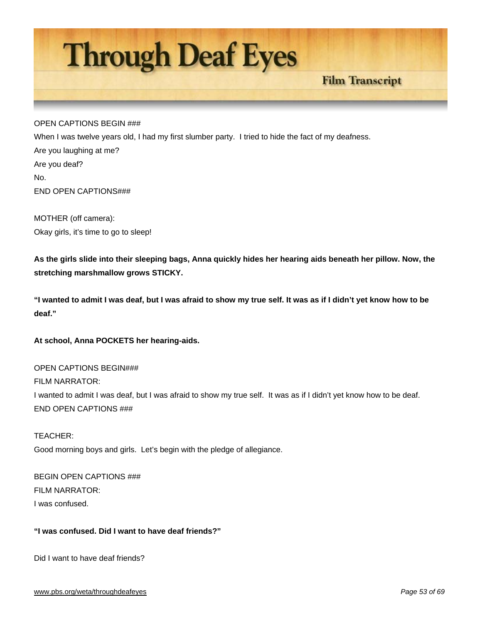

## OPEN CAPTIONS BEGIN ###

When I was twelve years old, I had my first slumber party. I tried to hide the fact of my deafness. Are you laughing at me? Are you deaf? No. END OPEN CAPTIONS###

MOTHER (off camera): Okay girls, it's time to go to sleep!

**As the girls slide into their sleeping bags, Anna quickly hides her hearing aids beneath her pillow. Now, the stretching marshmallow grows STICKY.** 

**"I wanted to admit I was deaf, but I was afraid to show my true self. It was as if I didn't yet know how to be deaf."** 

**At school, Anna POCKETS her hearing-aids.** 

OPEN CAPTIONS BEGIN### FILM NARRATOR: I wanted to admit I was deaf, but I was afraid to show my true self. It was as if I didn't yet know how to be deaf. END OPEN CAPTIONS ###

TEACHER: Good morning boys and girls. Let's begin with the pledge of allegiance.

BEGIN OPEN CAPTIONS ### FILM NARRATOR: I was confused.

# **"I was confused. Did I want to have deaf friends?"**

Did I want to have deaf friends?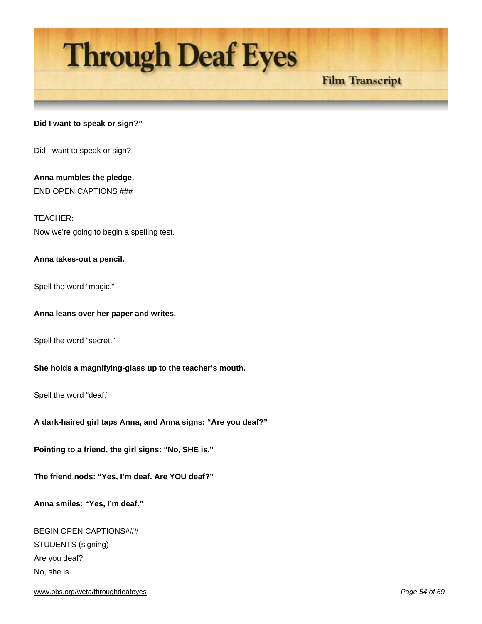# **Through Deaf Eyes**

# **Film Transcript**

# **Did I want to speak or sign?"**

Did I want to speak or sign?

**Anna mumbles the pledge.** END OPEN CAPTIONS ###

TEACHER: Now we're going to begin a spelling test.

# **Anna takes-out a pencil.**

Spell the word "magic."

#### **Anna leans over her paper and writes.**

Spell the word "secret."

#### **She holds a magnifying-glass up to the teacher's mouth.**

Spell the word "deaf."

**A dark-haired girl taps Anna, and Anna signs: "Are you deaf?"** 

**Pointing to a friend, the girl signs: "No, SHE is."** 

**The friend nods: "Yes, I'm deaf. Are YOU deaf?"** 

**Anna smiles: "Yes, I'm deaf."** 

BEGIN OPEN CAPTIONS### STUDENTS (signing) Are you deaf? No, she is.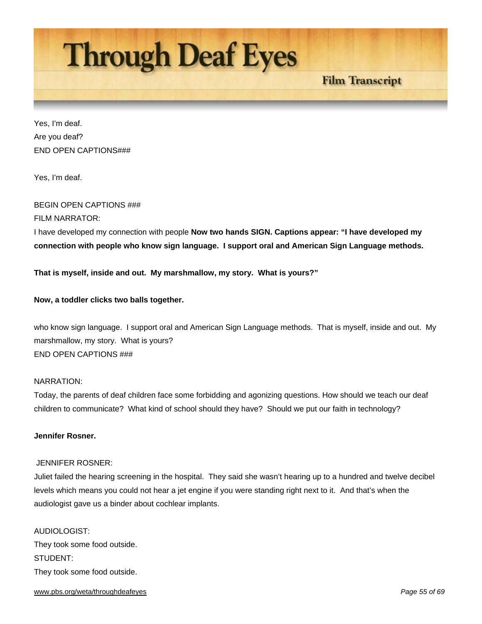

Yes, I'm deaf. Are you deaf? END OPEN CAPTIONS###

Yes, I'm deaf.

# BEGIN OPEN CAPTIONS ###

# FILM NARRATOR:

I have developed my connection with people **Now two hands SIGN. Captions appear: "I have developed my connection with people who know sign language. I support oral and American Sign Language methods.** 

**That is myself, inside and out. My marshmallow, my story. What is yours?"** 

# **Now, a toddler clicks two balls together.**

who know sign language. I support oral and American Sign Language methods. That is myself, inside and out. My marshmallow, my story. What is yours? END OPEN CAPTIONS ###

## NARRATION:

Today, the parents of deaf children face some forbidding and agonizing questions. How should we teach our deaf children to communicate? What kind of school should they have? Should we put our faith in technology?

# **Jennifer Rosner.**

#### JENNIFER ROSNER:

Juliet failed the hearing screening in the hospital. They said she wasn't hearing up to a hundred and twelve decibel levels which means you could not hear a jet engine if you were standing right next to it. And that's when the audiologist gave us a binder about cochlear implants.

AUDIOLOGIST: They took some food outside. STUDENT: They took some food outside.

#### www.pbs.org/weta/throughdeafeyes *Page 55 of 69*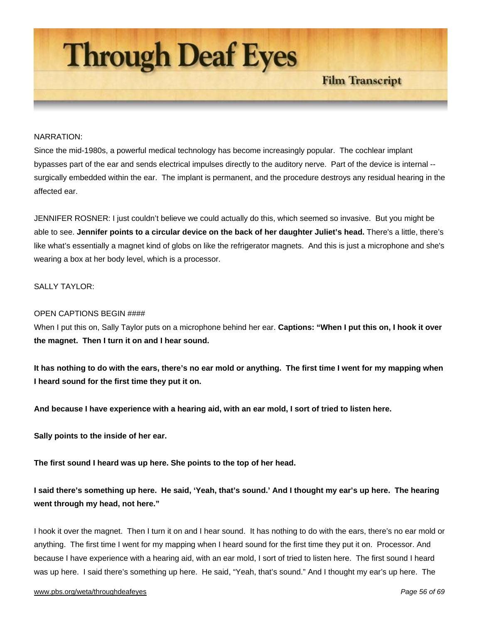

#### NARRATION:

Since the mid-1980s, a powerful medical technology has become increasingly popular. The cochlear implant bypasses part of the ear and sends electrical impulses directly to the auditory nerve. Part of the device is internal - surgically embedded within the ear. The implant is permanent, and the procedure destroys any residual hearing in the affected ear.

JENNIFER ROSNER: I just couldn't believe we could actually do this, which seemed so invasive. But you might be able to see. **Jennifer points to a circular device on the back of her daughter Juliet's head.** There's a little, there's like what's essentially a magnet kind of globs on like the refrigerator magnets. And this is just a microphone and she's wearing a box at her body level, which is a processor.

# SALLY TAYLOR<sup>.</sup>

#### OPEN CAPTIONS BEGIN ####

When I put this on, Sally Taylor puts on a microphone behind her ear. **Captions: "When I put this on, I hook it over the magnet. Then I turn it on and I hear sound.** 

**It has nothing to do with the ears, there's no ear mold or anything. The first time I went for my mapping when I heard sound for the first time they put it on.** 

**And because I have experience with a hearing aid, with an ear mold, I sort of tried to listen here.** 

**Sally points to the inside of her ear.** 

**The first sound I heard was up here. She points to the top of her head.** 

**I said there's something up here. He said, 'Yeah, that's sound.' And I thought my ear's up here. The hearing went through my head, not here."**

I hook it over the magnet. Then I turn it on and I hear sound. It has nothing to do with the ears, there's no ear mold or anything. The first time I went for my mapping when I heard sound for the first time they put it on. Processor. And because I have experience with a hearing aid, with an ear mold, I sort of tried to listen here. The first sound I heard was up here. I said there's something up here. He said, "Yeah, that's sound." And I thought my ear's up here. The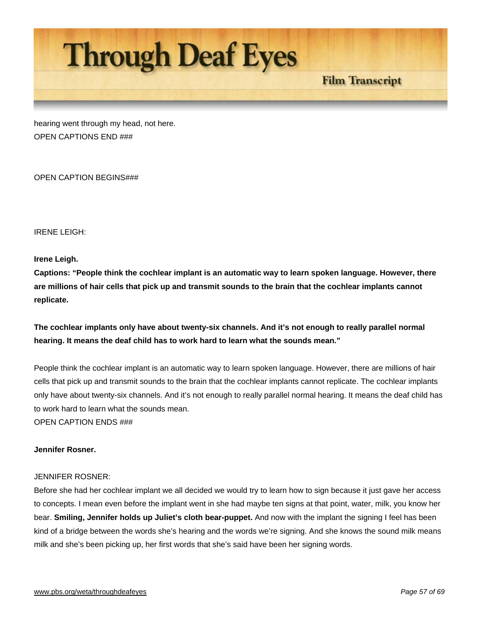

hearing went through my head, not here. OPEN CAPTIONS END ###

OPEN CAPTION BEGINS###

IRENE LEIGH:

# **Irene Leigh.**

**Captions: "People think the cochlear implant is an automatic way to learn spoken language. However, there are millions of hair cells that pick up and transmit sounds to the brain that the cochlear implants cannot replicate.** 

# **The cochlear implants only have about twenty-six channels. And it's not enough to really parallel normal hearing. It means the deaf child has to work hard to learn what the sounds mean."**

People think the cochlear implant is an automatic way to learn spoken language. However, there are millions of hair cells that pick up and transmit sounds to the brain that the cochlear implants cannot replicate. The cochlear implants only have about twenty-six channels. And it's not enough to really parallel normal hearing. It means the deaf child has to work hard to learn what the sounds mean.

OPEN CAPTION ENDS ###

# **Jennifer Rosner.**

# JENNIFER ROSNER:

Before she had her cochlear implant we all decided we would try to learn how to sign because it just gave her access to concepts. I mean even before the implant went in she had maybe ten signs at that point, water, milk, you know her bear. **Smiling, Jennifer holds up Juliet's cloth bear-puppet.** And now with the implant the signing I feel has been kind of a bridge between the words she's hearing and the words we're signing. And she knows the sound milk means milk and she's been picking up, her first words that she's said have been her signing words.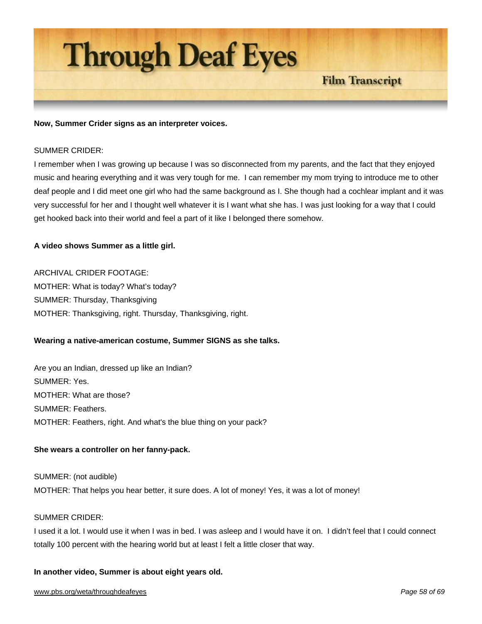

#### **Now, Summer Crider signs as an interpreter voices.**

#### SUMMER CRIDER:

I remember when I was growing up because I was so disconnected from my parents, and the fact that they enjoyed music and hearing everything and it was very tough for me. I can remember my mom trying to introduce me to other deaf people and I did meet one girl who had the same background as I. She though had a cochlear implant and it was very successful for her and I thought well whatever it is I want what she has. I was just looking for a way that I could get hooked back into their world and feel a part of it like I belonged there somehow.

**Film Transcript** 

#### **A video shows Summer as a little girl.**

ARCHIVAL CRIDER FOOTAGE: MOTHER: What is today? What's today? SUMMER: Thursday, Thanksgiving MOTHER: Thanksgiving, right. Thursday, Thanksgiving, right.

#### **Wearing a native-american costume, Summer SIGNS as she talks.**

Are you an Indian, dressed up like an Indian? SUMMER: Yes. MOTHER: What are those? SUMMER: Feathers. MOTHER: Feathers, right. And what's the blue thing on your pack?

#### **She wears a controller on her fanny-pack.**

SUMMER: (not audible) MOTHER: That helps you hear better, it sure does. A lot of money! Yes, it was a lot of money!

# SUMMER CRIDER:

I used it a lot. I would use it when I was in bed. I was asleep and I would have it on. I didn't feel that I could connect totally 100 percent with the hearing world but at least I felt a little closer that way.

#### **In another video, Summer is about eight years old.**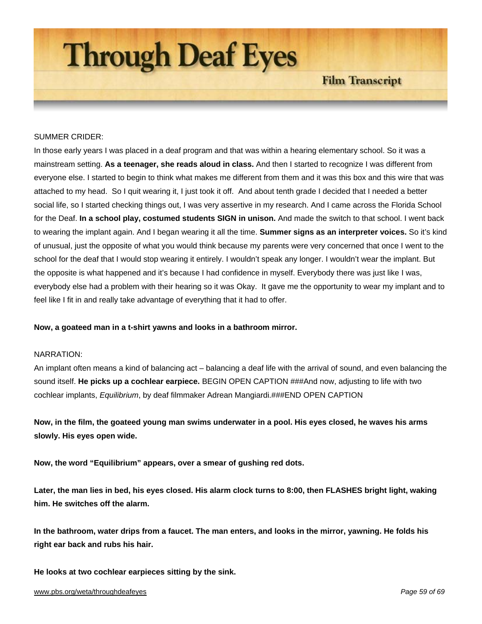

## SUMMER CRIDER:

In those early years I was placed in a deaf program and that was within a hearing elementary school. So it was a mainstream setting. **As a teenager, she reads aloud in class.** And then I started to recognize I was different from everyone else. I started to begin to think what makes me different from them and it was this box and this wire that was attached to my head. So I quit wearing it, I just took it off. And about tenth grade I decided that I needed a better social life, so I started checking things out, I was very assertive in my research. And I came across the Florida School for the Deaf. **In a school play, costumed students SIGN in unison.** And made the switch to that school. I went back to wearing the implant again. And I began wearing it all the time. **Summer signs as an interpreter voices.** So it's kind of unusual, just the opposite of what you would think because my parents were very concerned that once I went to the school for the deaf that I would stop wearing it entirely. I wouldn't speak any longer. I wouldn't wear the implant. But the opposite is what happened and it's because I had confidence in myself. Everybody there was just like I was, everybody else had a problem with their hearing so it was Okay. It gave me the opportunity to wear my implant and to feel like I fit in and really take advantage of everything that it had to offer.

**Now, a goateed man in a t-shirt yawns and looks in a bathroom mirror.** 

#### NARRATION:

An implant often means a kind of balancing act – balancing a deaf life with the arrival of sound, and even balancing the sound itself. **He picks up a cochlear earpiece.** BEGIN OPEN CAPTION ###And now, adjusting to life with two cochlear implants, *Equilibrium*, by deaf filmmaker Adrean Mangiardi.###END OPEN CAPTION

**Now, in the film, the goateed young man swims underwater in a pool. His eyes closed, he waves his arms slowly. His eyes open wide.** 

**Now, the word "Equilibrium" appears, over a smear of gushing red dots.** 

**Later, the man lies in bed, his eyes closed. His alarm clock turns to 8:00, then FLASHES bright light, waking him. He switches off the alarm.** 

**In the bathroom, water drips from a faucet. The man enters, and looks in the mirror, yawning. He folds his right ear back and rubs his hair.** 

**He looks at two cochlear earpieces sitting by the sink.**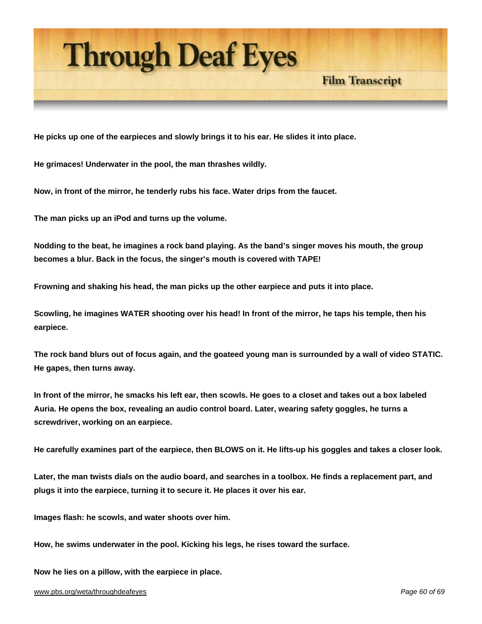

**He picks up one of the earpieces and slowly brings it to his ear. He slides it into place.** 

**He grimaces! Underwater in the pool, the man thrashes wildly.** 

**Now, in front of the mirror, he tenderly rubs his face. Water drips from the faucet.** 

**The man picks up an iPod and turns up the volume.** 

**Nodding to the beat, he imagines a rock band playing. As the band's singer moves his mouth, the group becomes a blur. Back in the focus, the singer's mouth is covered with TAPE!** 

**Frowning and shaking his head, the man picks up the other earpiece and puts it into place.** 

**Scowling, he imagines WATER shooting over his head! In front of the mirror, he taps his temple, then his earpiece.** 

**The rock band blurs out of focus again, and the goateed young man is surrounded by a wall of video STATIC. He gapes, then turns away.** 

**In front of the mirror, he smacks his left ear, then scowls. He goes to a closet and takes out a box labeled Auria. He opens the box, revealing an audio control board. Later, wearing safety goggles, he turns a screwdriver, working on an earpiece.** 

**He carefully examines part of the earpiece, then BLOWS on it. He lifts-up his goggles and takes a closer look.** 

**Later, the man twists dials on the audio board, and searches in a toolbox. He finds a replacement part, and plugs it into the earpiece, turning it to secure it. He places it over his ear.** 

**Images flash: he scowls, and water shoots over him.** 

**How, he swims underwater in the pool. Kicking his legs, he rises toward the surface.** 

**Now he lies on a pillow, with the earpiece in place.**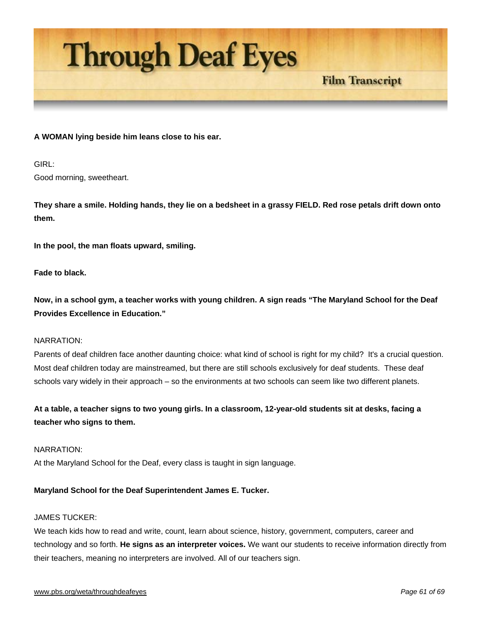

## **A WOMAN lying beside him leans close to his ear.**

GIRL: Good morning, sweetheart.

**They share a smile. Holding hands, they lie on a bedsheet in a grassy FIELD. Red rose petals drift down onto them.** 

**Film Transcript** 

**In the pool, the man floats upward, smiling.** 

**Fade to black.** 

**Now, in a school gym, a teacher works with young children. A sign reads "The Maryland School for the Deaf Provides Excellence in Education."** 

#### NARRATION:

Parents of deaf children face another daunting choice: what kind of school is right for my child? It's a crucial question. Most deaf children today are mainstreamed, but there are still schools exclusively for deaf students. These deaf schools vary widely in their approach – so the environments at two schools can seem like two different planets.

**At a table, a teacher signs to two young girls. In a classroom, 12-year-old students sit at desks, facing a teacher who signs to them.** 

NARRATION:

At the Maryland School for the Deaf, every class is taught in sign language.

#### **Maryland School for the Deaf Superintendent James E. Tucker.**

# JAMES TUCKER:

We teach kids how to read and write, count, learn about science, history, government, computers, career and technology and so forth. **He signs as an interpreter voices.** We want our students to receive information directly from their teachers, meaning no interpreters are involved. All of our teachers sign.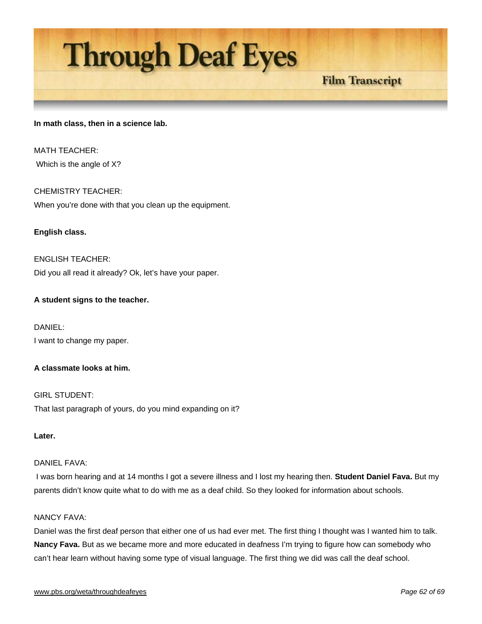# **Through Deaf Eyes**

# **Film Transcript**

## **In math class, then in a science lab.**

MATH TEACHER: Which is the angle of X?

# CHEMISTRY TEACHER: When you're done with that you clean up the equipment.

# **English class.**

ENGLISH TEACHER: Did you all read it already? Ok, let's have your paper.

# **A student signs to the teacher.**

DANIEL: I want to change my paper.

# **A classmate looks at him.**

GIRL STUDENT: That last paragraph of yours, do you mind expanding on it?

# **Later.**

# DANIEL FAVA:

 I was born hearing and at 14 months I got a severe illness and I lost my hearing then. **Student Daniel Fava.** But my parents didn't know quite what to do with me as a deaf child. So they looked for information about schools.

# NANCY FAVA:

Daniel was the first deaf person that either one of us had ever met. The first thing I thought was I wanted him to talk. **Nancy Fava.** But as we became more and more educated in deafness I'm trying to figure how can somebody who can't hear learn without having some type of visual language. The first thing we did was call the deaf school.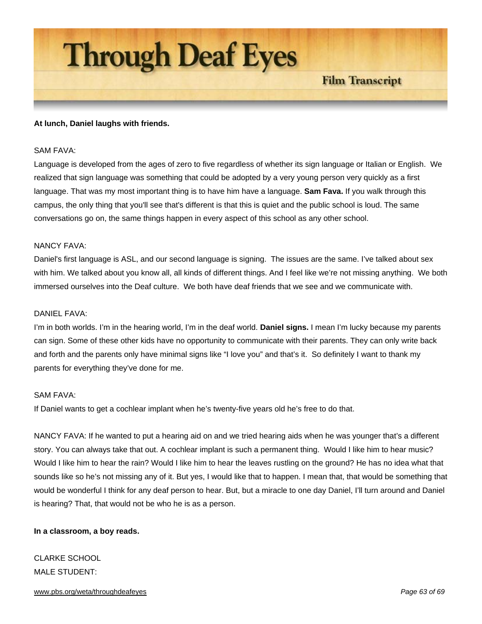

#### **At lunch, Daniel laughs with friends.**

#### SAM FAVA:

Language is developed from the ages of zero to five regardless of whether its sign language or Italian or English. We realized that sign language was something that could be adopted by a very young person very quickly as a first language. That was my most important thing is to have him have a language. **Sam Fava.** If you walk through this campus, the only thing that you'll see that's different is that this is quiet and the public school is loud. The same conversations go on, the same things happen in every aspect of this school as any other school.

#### NANCY FAVA:

Daniel's first language is ASL, and our second language is signing. The issues are the same. I've talked about sex with him. We talked about you know all, all kinds of different things. And I feel like we're not missing anything. We both immersed ourselves into the Deaf culture. We both have deaf friends that we see and we communicate with.

#### DANIEL FAVA:

I'm in both worlds. I'm in the hearing world, I'm in the deaf world. **Daniel signs.** I mean I'm lucky because my parents can sign. Some of these other kids have no opportunity to communicate with their parents. They can only write back and forth and the parents only have minimal signs like "I love you" and that's it. So definitely I want to thank my parents for everything they've done for me.

#### SAM FAVA:

If Daniel wants to get a cochlear implant when he's twenty-five years old he's free to do that.

NANCY FAVA: If he wanted to put a hearing aid on and we tried hearing aids when he was younger that's a different story. You can always take that out. A cochlear implant is such a permanent thing. Would I like him to hear music? Would I like him to hear the rain? Would I like him to hear the leaves rustling on the ground? He has no idea what that sounds like so he's not missing any of it. But yes, I would like that to happen. I mean that, that would be something that would be wonderful I think for any deaf person to hear. But, but a miracle to one day Daniel, I'll turn around and Daniel is hearing? That, that would not be who he is as a person.

#### **In a classroom, a boy reads.**

# CLARKE SCHOOL MALE STUDENT:

#### www.pbs.org/weta/throughdeafeyes *Page 63 of 69*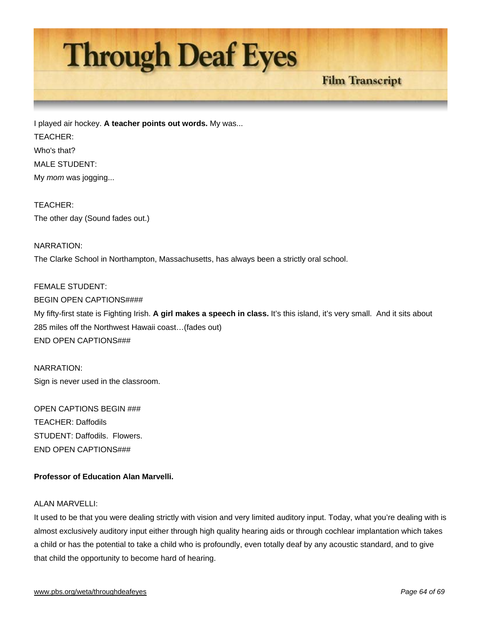

I played air hockey. **A teacher points out words.** My was... TEACHER: Who's that? MALE STUDENT: My *mom* was jogging...

TEACHER: The other day (Sound fades out.)

# NARRATION: The Clarke School in Northampton, Massachusetts, has always been a strictly oral school.

# FEMALE STUDENT: BEGIN OPEN CAPTIONS#### My fifty-first state is Fighting Irish. **A girl makes a speech in class.** It's this island, it's very small. And it sits about 285 miles off the Northwest Hawaii coast…(fades out) END OPEN CAPTIONS###

NARRATION: Sign is never used in the classroom.

OPEN CAPTIONS BEGIN ### TEACHER: Daffodils STUDENT: Daffodils. Flowers. END OPEN CAPTIONS###

# **Professor of Education Alan Marvelli.**

# ALAN MARVELLI:

It used to be that you were dealing strictly with vision and very limited auditory input. Today, what you're dealing with is almost exclusively auditory input either through high quality hearing aids or through cochlear implantation which takes a child or has the potential to take a child who is profoundly, even totally deaf by any acoustic standard, and to give that child the opportunity to become hard of hearing.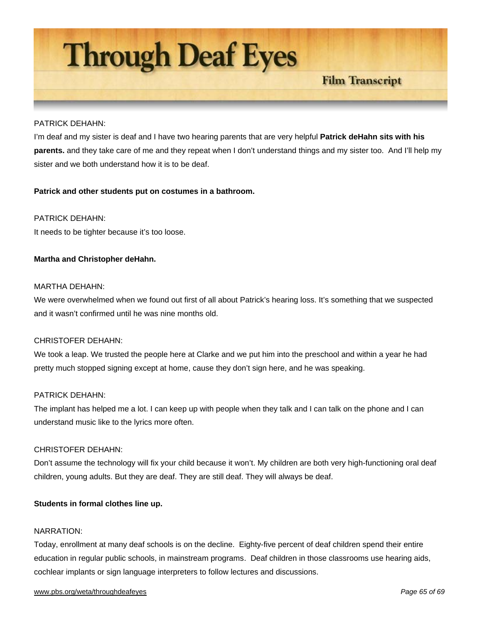**Through Deaf Eyes** 

# **Film Transcript**

#### PATRICK DEHAHN:

I'm deaf and my sister is deaf and I have two hearing parents that are very helpful **Patrick deHahn sits with his parents.** and they take care of me and they repeat when I don't understand things and my sister too. And I'll help my sister and we both understand how it is to be deaf.

#### **Patrick and other students put on costumes in a bathroom.**

#### PATRICK DEHAHN:

It needs to be tighter because it's too loose.

#### **Martha and Christopher deHahn.**

#### MARTHA DEHAHN:

We were overwhelmed when we found out first of all about Patrick's hearing loss. It's something that we suspected and it wasn't confirmed until he was nine months old.

#### CHRISTOFER DEHAHN:

We took a leap. We trusted the people here at Clarke and we put him into the preschool and within a year he had pretty much stopped signing except at home, cause they don't sign here, and he was speaking.

#### PATRICK DEHAHN:

The implant has helped me a lot. I can keep up with people when they talk and I can talk on the phone and I can understand music like to the lyrics more often.

#### CHRISTOFER DEHAHN:

Don't assume the technology will fix your child because it won't. My children are both very high-functioning oral deaf children, young adults. But they are deaf. They are still deaf. They will always be deaf.

#### **Students in formal clothes line up.**

#### NARRATION:

Today, enrollment at many deaf schools is on the decline. Eighty-five percent of deaf children spend their entire education in regular public schools, in mainstream programs. Deaf children in those classrooms use hearing aids, cochlear implants or sign language interpreters to follow lectures and discussions.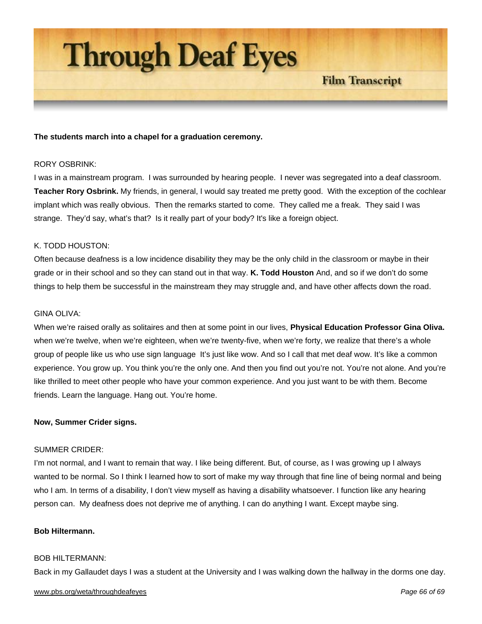

#### **The students march into a chapel for a graduation ceremony.**

#### RORY OSBRINK:

I was in a mainstream program. I was surrounded by hearing people. I never was segregated into a deaf classroom. **Teacher Rory Osbrink.** My friends, in general, I would say treated me pretty good. With the exception of the cochlear implant which was really obvious. Then the remarks started to come. They called me a freak. They said I was strange. They'd say, what's that? Is it really part of your body? It's like a foreign object.

#### K. TODD HOUSTON:

Often because deafness is a low incidence disability they may be the only child in the classroom or maybe in their grade or in their school and so they can stand out in that way. **K. Todd Houston** And, and so if we don't do some things to help them be successful in the mainstream they may struggle and, and have other affects down the road.

## GINA OLIVA:

When we're raised orally as solitaires and then at some point in our lives, **Physical Education Professor Gina Oliva.** when we're twelve, when we're eighteen, when we're twenty-five, when we're forty, we realize that there's a whole group of people like us who use sign language It's just like wow. And so I call that met deaf wow. It's like a common experience. You grow up. You think you're the only one. And then you find out you're not. You're not alone. And you're like thrilled to meet other people who have your common experience. And you just want to be with them. Become friends. Learn the language. Hang out. You're home.

#### **Now, Summer Crider signs.**

#### SUMMER CRIDER:

I'm not normal, and I want to remain that way. I like being different. But, of course, as I was growing up I always wanted to be normal. So I think I learned how to sort of make my way through that fine line of being normal and being who I am. In terms of a disability, I don't view myself as having a disability whatsoever. I function like any hearing person can. My deafness does not deprive me of anything. I can do anything I want. Except maybe sing.

#### **Bob Hiltermann.**

#### BOB HILTERMANN:

Back in my Gallaudet days I was a student at the University and I was walking down the hallway in the dorms one day.

#### www.pbs.org/weta/throughdeafeyes *Page 66 of 69*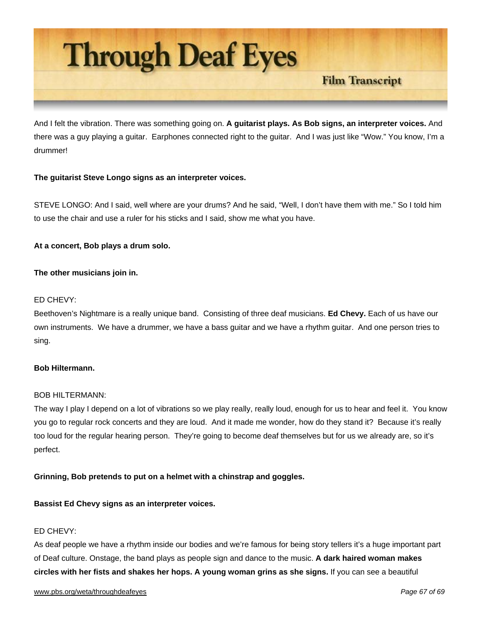

And I felt the vibration. There was something going on. **A guitarist plays. As Bob signs, an interpreter voices.** And there was a guy playing a guitar. Earphones connected right to the guitar. And I was just like "Wow." You know, I'm a drummer!

# **The guitarist Steve Longo signs as an interpreter voices.**

STEVE LONGO: And I said, well where are your drums? And he said, "Well, I don't have them with me." So I told him to use the chair and use a ruler for his sticks and I said, show me what you have.

# **At a concert, Bob plays a drum solo.**

# **The other musicians join in.**

# ED CHEVY:

Beethoven's Nightmare is a really unique band. Consisting of three deaf musicians. **Ed Chevy.** Each of us have our own instruments. We have a drummer, we have a bass guitar and we have a rhythm guitar. And one person tries to sing.

#### **Bob Hiltermann.**

#### BOB HILTERMANN:

The way I play I depend on a lot of vibrations so we play really, really loud, enough for us to hear and feel it. You know you go to regular rock concerts and they are loud. And it made me wonder, how do they stand it? Because it's really too loud for the regular hearing person. They're going to become deaf themselves but for us we already are, so it's perfect.

# **Grinning, Bob pretends to put on a helmet with a chinstrap and goggles.**

# **Bassist Ed Chevy signs as an interpreter voices.**

# ED CHEVY:

As deaf people we have a rhythm inside our bodies and we're famous for being story tellers it's a huge important part of Deaf culture. Onstage, the band plays as people sign and dance to the music. **A dark haired woman makes circles with her fists and shakes her hops. A young woman grins as she signs.** If you can see a beautiful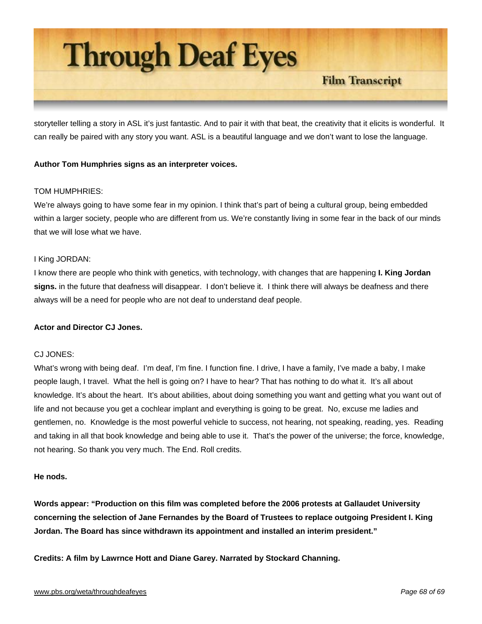

storyteller telling a story in ASL it's just fantastic. And to pair it with that beat, the creativity that it elicits is wonderful. It can really be paired with any story you want. ASL is a beautiful language and we don't want to lose the language.

# **Author Tom Humphries signs as an interpreter voices.**

# TOM HUMPHRIES:

We're always going to have some fear in my opinion. I think that's part of being a cultural group, being embedded within a larger society, people who are different from us. We're constantly living in some fear in the back of our minds that we will lose what we have.

# I King JORDAN:

I know there are people who think with genetics, with technology, with changes that are happening **I. King Jordan signs.** in the future that deafness will disappear. I don't believe it. I think there will always be deafness and there always will be a need for people who are not deaf to understand deaf people.

# **Actor and Director CJ Jones.**

# CJ JONES:

What's wrong with being deaf. I'm deaf, I'm fine. I function fine. I drive, I have a family, I've made a baby, I make people laugh, I travel. What the hell is going on? I have to hear? That has nothing to do what it. It's all about knowledge. It's about the heart. It's about abilities, about doing something you want and getting what you want out of life and not because you get a cochlear implant and everything is going to be great. No, excuse me ladies and gentlemen, no. Knowledge is the most powerful vehicle to success, not hearing, not speaking, reading, yes. Reading and taking in all that book knowledge and being able to use it. That's the power of the universe; the force, knowledge, not hearing. So thank you very much. The End. Roll credits.

#### **He nods.**

**Words appear: "Production on this film was completed before the 2006 protests at Gallaudet University concerning the selection of Jane Fernandes by the Board of Trustees to replace outgoing President I. King Jordan. The Board has since withdrawn its appointment and installed an interim president."** 

**Credits: A film by Lawrnce Hott and Diane Garey. Narrated by Stockard Channing.**